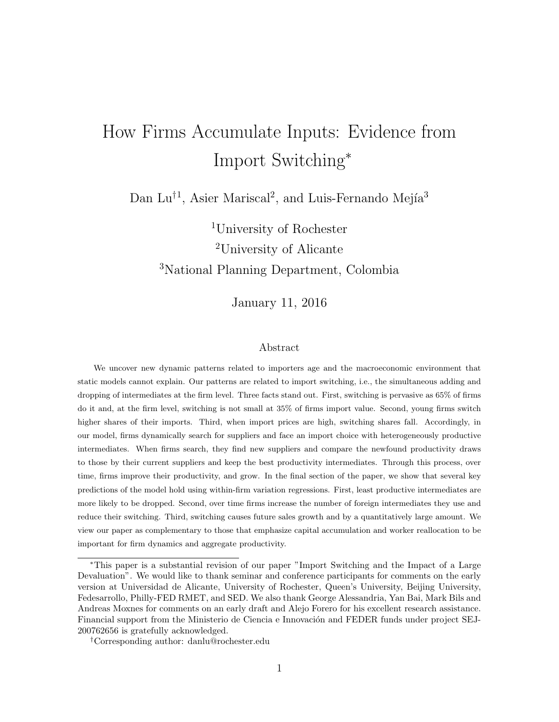# How Firms Accumulate Inputs: Evidence from Import Switching<sup>∗</sup>

Dan Lu<sup>†1</sup>, Asier Mariscal<sup>2</sup>, and Luis-Fernando Mejía<sup>3</sup>

<sup>1</sup>University of Rochester <sup>2</sup>University of Alicante <sup>3</sup>National Planning Department, Colombia

January 11, 2016

#### Abstract

We uncover new dynamic patterns related to importers age and the macroeconomic environment that static models cannot explain. Our patterns are related to import switching, i.e., the simultaneous adding and dropping of intermediates at the firm level. Three facts stand out. First, switching is pervasive as 65% of firms do it and, at the firm level, switching is not small at 35% of firms import value. Second, young firms switch higher shares of their imports. Third, when import prices are high, switching shares fall. Accordingly, in our model, firms dynamically search for suppliers and face an import choice with heterogeneously productive intermediates. When firms search, they find new suppliers and compare the newfound productivity draws to those by their current suppliers and keep the best productivity intermediates. Through this process, over time, firms improve their productivity, and grow. In the final section of the paper, we show that several key predictions of the model hold using within-firm variation regressions. First, least productive intermediates are more likely to be dropped. Second, over time firms increase the number of foreign intermediates they use and reduce their switching. Third, switching causes future sales growth and by a quantitatively large amount. We view our paper as complementary to those that emphasize capital accumulation and worker reallocation to be important for firm dynamics and aggregate productivity.

<sup>∗</sup>This paper is a substantial revision of our paper "Import Switching and the Impact of a Large Devaluation". We would like to thank seminar and conference participants for comments on the early version at Universidad de Alicante, University of Rochester, Queen's University, Beijing University, Fedesarrollo, Philly-FED RMET, and SED. We also thank George Alessandria, Yan Bai, Mark Bils and Andreas Moxnes for comments on an early draft and Alejo Forero for his excellent research assistance. Financial support from the Ministerio de Ciencia e Innovación and FEDER funds under project SEJ-200762656 is gratefully acknowledged.

<sup>†</sup>Corresponding author: danlu@rochester.edu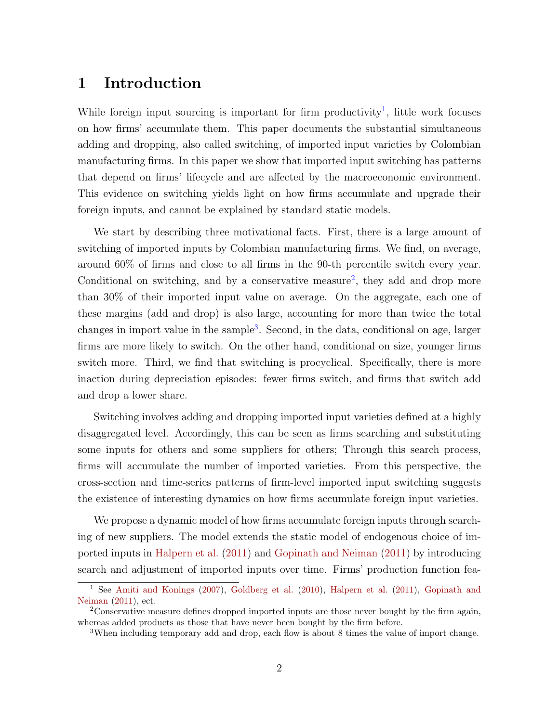# <span id="page-1-3"></span>1 Introduction

While foreign input sourcing is important for firm productivity<sup>[1](#page-1-0)</sup>, little work focuses on how firms' accumulate them. This paper documents the substantial simultaneous adding and dropping, also called switching, of imported input varieties by Colombian manufacturing firms. In this paper we show that imported input switching has patterns that depend on firms' lifecycle and are affected by the macroeconomic environment. This evidence on switching yields light on how firms accumulate and upgrade their foreign inputs, and cannot be explained by standard static models.

We start by describing three motivational facts. First, there is a large amount of switching of imported inputs by Colombian manufacturing firms. We find, on average, around 60% of firms and close to all firms in the 90-th percentile switch every year. Conditional on switching, and by a conservative measure<sup>[2](#page-1-1)</sup>, they add and drop more than 30% of their imported input value on average. On the aggregate, each one of these margins (add and drop) is also large, accounting for more than twice the total changes in import value in the sample<sup>[3](#page-1-2)</sup>. Second, in the data, conditional on age, larger firms are more likely to switch. On the other hand, conditional on size, younger firms switch more. Third, we find that switching is procyclical. Specifically, there is more inaction during depreciation episodes: fewer firms switch, and firms that switch add and drop a lower share.

Switching involves adding and dropping imported input varieties defined at a highly disaggregated level. Accordingly, this can be seen as firms searching and substituting some inputs for others and some suppliers for others; Through this search process, firms will accumulate the number of imported varieties. From this perspective, the cross-section and time-series patterns of firm-level imported input switching suggests the existence of interesting dynamics on how firms accumulate foreign input varieties.

We propose a dynamic model of how firms accumulate foreign inputs through searching of new suppliers. The model extends the static model of endogenous choice of imported inputs in [Halpern et al.](#page-50-0) [\(2011\)](#page-50-0) and [Gopinath and Neiman](#page-50-1) [\(2011\)](#page-50-1) by introducing search and adjustment of imported inputs over time. Firms' production function fea-

<span id="page-1-0"></span><sup>1</sup> See [Amiti and Konings](#page-49-0) [\(2007\)](#page-49-0), [Goldberg et al.](#page-50-2) [\(2010\)](#page-50-2), [Halpern et al.](#page-50-0) [\(2011\)](#page-50-0), [Gopinath and](#page-50-1) [Neiman](#page-50-1) [\(2011\)](#page-50-1), ect.

<span id="page-1-1"></span><sup>2</sup>Conservative measure defines dropped imported inputs are those never bought by the firm again, whereas added products as those that have never been bought by the firm before.

<span id="page-1-2"></span><sup>3</sup>When including temporary add and drop, each flow is about 8 times the value of import change.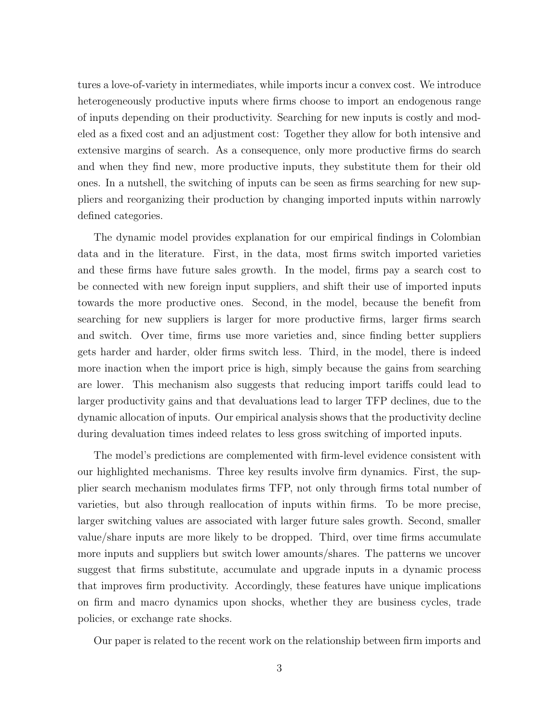tures a love-of-variety in intermediates, while imports incur a convex cost. We introduce heterogeneously productive inputs where firms choose to import an endogenous range of inputs depending on their productivity. Searching for new inputs is costly and modeled as a fixed cost and an adjustment cost: Together they allow for both intensive and extensive margins of search. As a consequence, only more productive firms do search and when they find new, more productive inputs, they substitute them for their old ones. In a nutshell, the switching of inputs can be seen as firms searching for new suppliers and reorganizing their production by changing imported inputs within narrowly defined categories.

The dynamic model provides explanation for our empirical findings in Colombian data and in the literature. First, in the data, most firms switch imported varieties and these firms have future sales growth. In the model, firms pay a search cost to be connected with new foreign input suppliers, and shift their use of imported inputs towards the more productive ones. Second, in the model, because the benefit from searching for new suppliers is larger for more productive firms, larger firms search and switch. Over time, firms use more varieties and, since finding better suppliers gets harder and harder, older firms switch less. Third, in the model, there is indeed more inaction when the import price is high, simply because the gains from searching are lower. This mechanism also suggests that reducing import tariffs could lead to larger productivity gains and that devaluations lead to larger TFP declines, due to the dynamic allocation of inputs. Our empirical analysis shows that the productivity decline during devaluation times indeed relates to less gross switching of imported inputs.

The model's predictions are complemented with firm-level evidence consistent with our highlighted mechanisms. Three key results involve firm dynamics. First, the supplier search mechanism modulates firms TFP, not only through firms total number of varieties, but also through reallocation of inputs within firms. To be more precise, larger switching values are associated with larger future sales growth. Second, smaller value/share inputs are more likely to be dropped. Third, over time firms accumulate more inputs and suppliers but switch lower amounts/shares. The patterns we uncover suggest that firms substitute, accumulate and upgrade inputs in a dynamic process that improves firm productivity. Accordingly, these features have unique implications on firm and macro dynamics upon shocks, whether they are business cycles, trade policies, or exchange rate shocks.

Our paper is related to the recent work on the relationship between firm imports and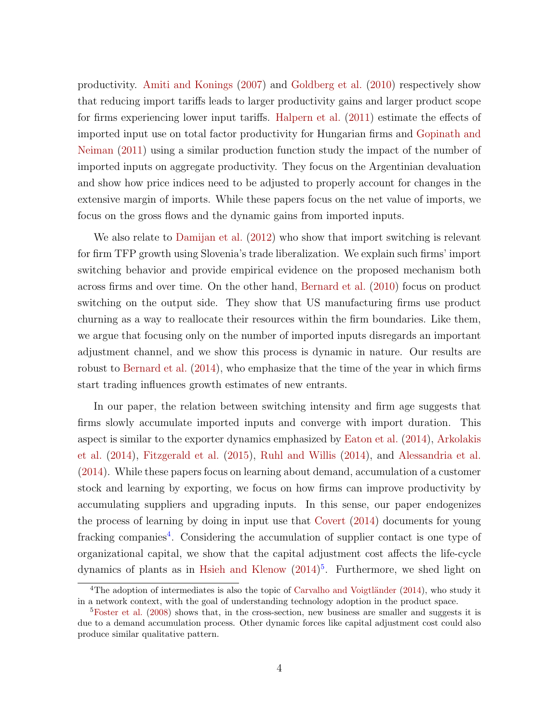<span id="page-3-2"></span>productivity. [Amiti and Konings](#page-49-0) [\(2007\)](#page-49-0) and [Goldberg et al.](#page-50-2) [\(2010\)](#page-50-2) respectively show that reducing import tariffs leads to larger productivity gains and larger product scope for firms experiencing lower input tariffs. [Halpern et al.](#page-50-0) [\(2011\)](#page-50-0) estimate the effects of imported input use on total factor productivity for Hungarian firms and [Gopinath and](#page-50-1) [Neiman](#page-50-1) [\(2011\)](#page-50-1) using a similar production function study the impact of the number of imported inputs on aggregate productivity. They focus on the Argentinian devaluation and show how price indices need to be adjusted to properly account for changes in the extensive margin of imports. While these papers focus on the net value of imports, we focus on the gross flows and the dynamic gains from imported inputs.

We also relate to [Damijan et al.](#page-49-1) [\(2012\)](#page-49-1) who show that import switching is relevant for firm TFP growth using Slovenia's trade liberalization. We explain such firms' import switching behavior and provide empirical evidence on the proposed mechanism both across firms and over time. On the other hand, [Bernard et al.](#page-49-2) [\(2010\)](#page-49-2) focus on product switching on the output side. They show that US manufacturing firms use product churning as a way to reallocate their resources within the firm boundaries. Like them, we argue that focusing only on the number of imported inputs disregards an important adjustment channel, and we show this process is dynamic in nature. Our results are robust to [Bernard et al.](#page-49-3) [\(2014\)](#page-49-3), who emphasize that the time of the year in which firms start trading influences growth estimates of new entrants.

In our paper, the relation between switching intensity and firm age suggests that firms slowly accumulate imported inputs and converge with import duration. This aspect is similar to the exporter dynamics emphasized by [Eaton et al.](#page-49-4) [\(2014\)](#page-49-4), [Arkolakis](#page-49-5) [et al.](#page-49-5) [\(2014\)](#page-49-5), [Fitzgerald et al.](#page-49-6) [\(2015\)](#page-49-6), [Ruhl and Willis](#page-50-3) [\(2014\)](#page-50-3), and [Alessandria et al.](#page-49-7) [\(2014\)](#page-49-7). While these papers focus on learning about demand, accumulation of a customer stock and learning by exporting, we focus on how firms can improve productivity by accumulating suppliers and upgrading inputs. In this sense, our paper endogenizes the process of learning by doing in input use that [Covert](#page-49-8) [\(2014\)](#page-49-8) documents for young fracking companies<sup>[4](#page-3-0)</sup>. Considering the accumulation of supplier contact is one type of organizational capital, we show that the capital adjustment cost affects the life-cycle dynamics of plants as in [Hsieh and Klenow](#page-50-4) [\(2014\)](#page-50-4) [5](#page-3-1) . Furthermore, we shed light on

<span id="page-3-0"></span><sup>&</sup>lt;sup>4</sup>The adoption of intermediates is also the topic of Carvalho and Voigtländer [\(2014\)](#page-49-9), who study it in a network context, with the goal of understanding technology adoption in the product space.

<span id="page-3-1"></span> ${}^{5}$ [Foster et al.](#page-50-5) [\(2008\)](#page-50-5) shows that, in the cross-section, new business are smaller and suggests it is due to a demand accumulation process. Other dynamic forces like capital adjustment cost could also produce similar qualitative pattern.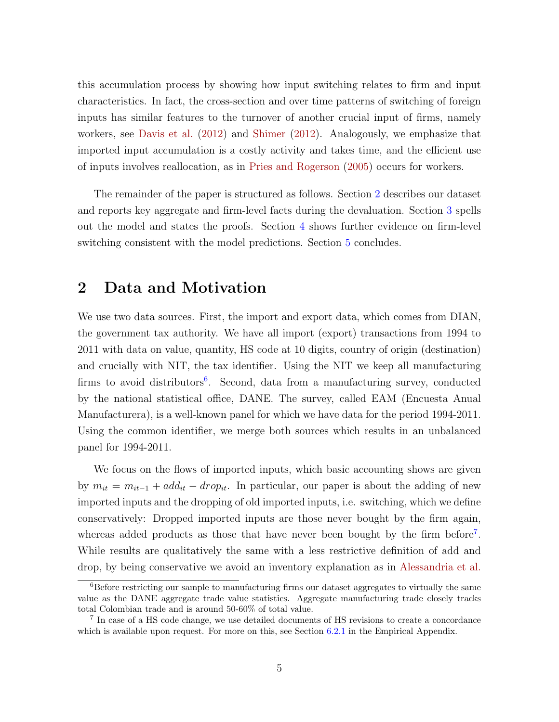<span id="page-4-3"></span>this accumulation process by showing how input switching relates to firm and input characteristics. In fact, the cross-section and over time patterns of switching of foreign inputs has similar features to the turnover of another crucial input of firms, namely workers, see [Davis et al.](#page-49-10) [\(2012\)](#page-49-10) and [Shimer](#page-50-6) [\(2012\)](#page-50-6). Analogously, we emphasize that imported input accumulation is a costly activity and takes time, and the efficient use of inputs involves reallocation, as in [Pries and Rogerson](#page-50-7) [\(2005\)](#page-50-7) occurs for workers.

The remainder of the paper is structured as follows. Section [2](#page-4-0) describes our dataset and reports key aggregate and firm-level facts during the devaluation. Section [3](#page-11-0) spells out the model and states the proofs. Section [4](#page-20-0) shows further evidence on firm-level switching consistent with the model predictions. Section [5](#page-31-0) concludes.

# <span id="page-4-0"></span>2 Data and Motivation

We use two data sources. First, the import and export data, which comes from DIAN, the government tax authority. We have all import (export) transactions from 1994 to 2011 with data on value, quantity, HS code at 10 digits, country of origin (destination) and crucially with NIT, the tax identifier. Using the NIT we keep all manufacturing firms to avoid distributors<sup>[6](#page-4-1)</sup>. Second, data from a manufacturing survey, conducted by the national statistical office, DANE. The survey, called EAM (Encuesta Anual Manufacturera), is a well-known panel for which we have data for the period 1994-2011. Using the common identifier, we merge both sources which results in an unbalanced panel for 1994-2011.

We focus on the flows of imported inputs, which basic accounting shows are given by  $m_{it} = m_{it-1} + add_{it} - drop_{it}$ . In particular, our paper is about the adding of new imported inputs and the dropping of old imported inputs, i.e. switching, which we define conservatively: Dropped imported inputs are those never bought by the firm again, whereas added products as those that have never been bought by the firm before<sup>[7](#page-4-2)</sup>. While results are qualitatively the same with a less restrictive definition of add and drop, by being conservative we avoid an inventory explanation as in [Alessandria et al.](#page-49-11)

<span id="page-4-1"></span> ${}^{6}$ Before restricting our sample to manufacturing firms our dataset aggregates to virtually the same value as the DANE aggregate trade value statistics. Aggregate manufacturing trade closely tracks total Colombian trade and is around 50-60% of total value.

<span id="page-4-2"></span><sup>&</sup>lt;sup>7</sup> In case of a HS code change, we use detailed documents of HS revisions to create a concordance which is available upon request. For more on this, see Section [6.2.1](#page-43-0) in the Empirical Appendix.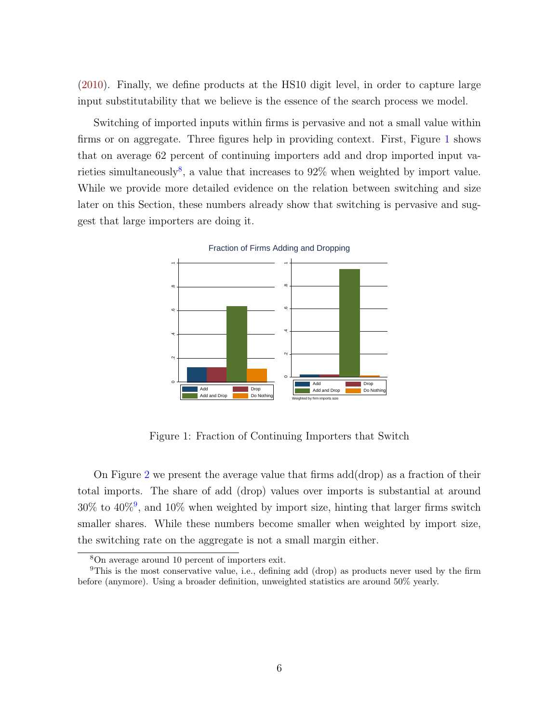[\(2010\)](#page-49-11). Finally, we define products at the HS10 digit level, in order to capture large input substitutability that we believe is the essence of the search process we model.

Switching of imported inputs within firms is pervasive and not a small value within firms or on aggregate. Three figures help in providing context. First, Figure [1](#page-5-0) shows that on average 62 percent of continuing importers add and drop imported input va-rieties simultaneously<sup>[8](#page-5-1)</sup>, a value that increases to  $92\%$  when weighted by import value. While we provide more detailed evidence on the relation between switching and size later on this Section, these numbers already show that switching is pervasive and suggest that large importers are doing it.

<span id="page-5-0"></span>

Fraction of Firms Adding and Dropping

Figure 1: Fraction of Continuing Importers that Switch

On Figure [2](#page-6-0) we present the average value that firms add(drop) as a fraction of their total imports. The share of add (drop) values over imports is substantial at around  $30\%$  to  $40\%$ <sup>[9](#page-5-2)</sup>, and  $10\%$  when weighted by import size, hinting that larger firms switch smaller shares. While these numbers become smaller when weighted by import size, the switching rate on the aggregate is not a small margin either.

<span id="page-5-2"></span><span id="page-5-1"></span><sup>8</sup>On average around 10 percent of importers exit.

<sup>9</sup>This is the most conservative value, i.e., defining add (drop) as products never used by the firm before (anymore). Using a broader definition, unweighted statistics are around 50% yearly.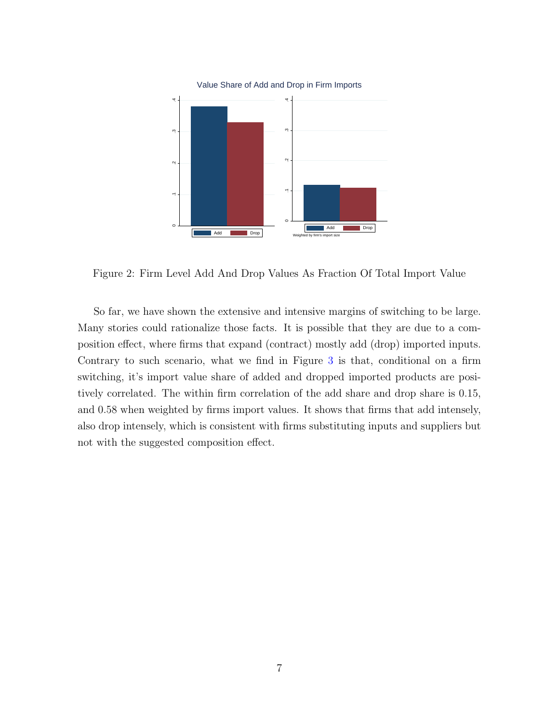<span id="page-6-0"></span>

Figure 2: Firm Level Add And Drop Values As Fraction Of Total Import Value

So far, we have shown the extensive and intensive margins of switching to be large. Many stories could rationalize those facts. It is possible that they are due to a composition effect, where firms that expand (contract) mostly add (drop) imported inputs. Contrary to such scenario, what we find in Figure [3](#page-7-0) is that, conditional on a firm switching, it's import value share of added and dropped imported products are positively correlated. The within firm correlation of the add share and drop share is 0.15, and 0.58 when weighted by firms import values. It shows that firms that add intensely, also drop intensely, which is consistent with firms substituting inputs and suppliers but not with the suggested composition effect.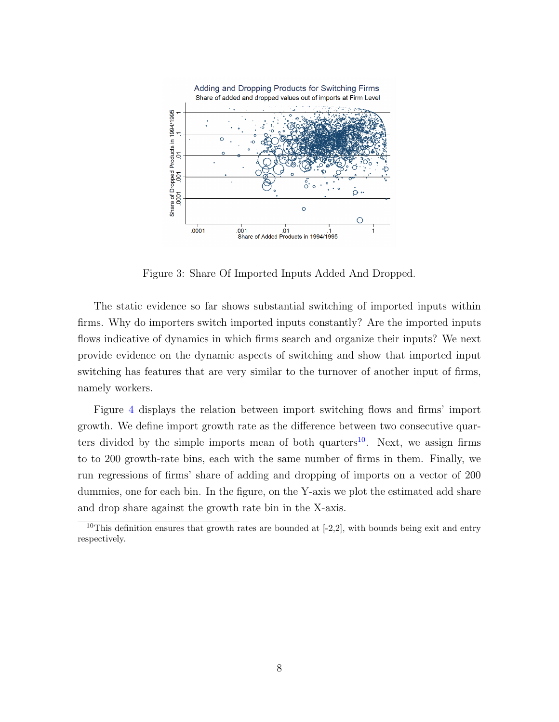<span id="page-7-0"></span>

Figure 3: Share Of Imported Inputs Added And Dropped.

The static evidence so far shows substantial switching of imported inputs within firms. Why do importers switch imported inputs constantly? Are the imported inputs flows indicative of dynamics in which firms search and organize their inputs? We next provide evidence on the dynamic aspects of switching and show that imported input switching has features that are very similar to the turnover of another input of firms, namely workers.

Figure [4](#page-8-0) displays the relation between import switching flows and firms' import growth. We define import growth rate as the difference between two consecutive quar-ters divided by the simple imports mean of both quarters<sup>[10](#page-7-1)</sup>. Next, we assign firms to to 200 growth-rate bins, each with the same number of firms in them. Finally, we run regressions of firms' share of adding and dropping of imports on a vector of 200 dummies, one for each bin. In the figure, on the Y-axis we plot the estimated add share and drop share against the growth rate bin in the X-axis.

<span id="page-7-1"></span><sup>&</sup>lt;sup>10</sup>This definition ensures that growth rates are bounded at  $[-2,2]$ , with bounds being exit and entry respectively.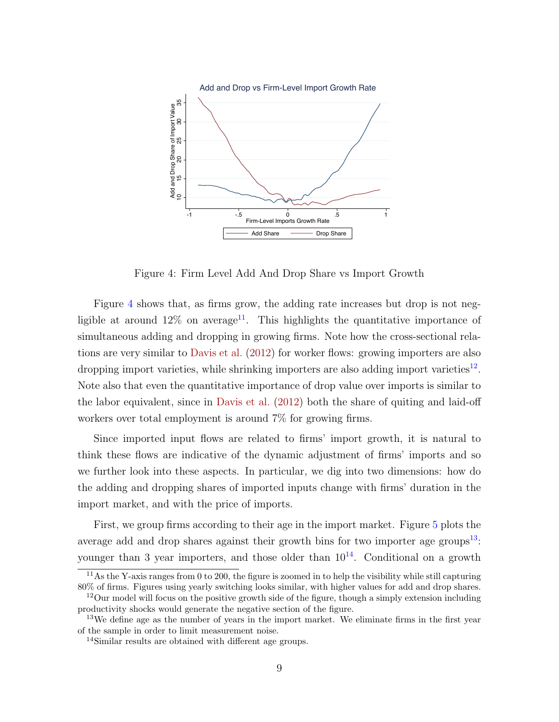<span id="page-8-5"></span><span id="page-8-0"></span>

Figure 4: Firm Level Add And Drop Share vs Import Growth

Figure [4](#page-8-0) shows that, as firms grow, the adding rate increases but drop is not negligible at around  $12\%$  on average<sup>[11](#page-8-1)</sup>. This highlights the quantitative importance of simultaneous adding and dropping in growing firms. Note how the cross-sectional relations are very similar to [Davis et al.](#page-49-10) [\(2012\)](#page-49-10) for worker flows: growing importers are also dropping import varieties, while shrinking importers are also adding import varieties<sup>[12](#page-8-2)</sup>. Note also that even the quantitative importance of drop value over imports is similar to the labor equivalent, since in [Davis et al.](#page-49-10) [\(2012\)](#page-49-10) both the share of quiting and laid-off workers over total employment is around 7% for growing firms.

Since imported input flows are related to firms' import growth, it is natural to think these flows are indicative of the dynamic adjustment of firms' imports and so we further look into these aspects. In particular, we dig into two dimensions: how do the adding and dropping shares of imported inputs change with firms' duration in the import market, and with the price of imports.

First, we group firms according to their age in the import market. Figure [5](#page-9-0) plots the average add and drop shares against their growth bins for two importer age groups<sup>[13](#page-8-3)</sup>: younger than 3 year importers, and those older than  $10^{14}$  $10^{14}$  $10^{14}$ . Conditional on a growth

<span id="page-8-1"></span> $11\text{As the Y-axis ranges from 0 to 200, the figure is zoomed in to help the visibility while still capturing }$ 80% of firms. Figures using yearly switching looks similar, with higher values for add and drop shares.

<span id="page-8-2"></span> $12$ Our model will focus on the positive growth side of the figure, though a simply extension including productivity shocks would generate the negative section of the figure.

<span id="page-8-3"></span><sup>&</sup>lt;sup>13</sup>We define age as the number of years in the import market. We eliminate firms in the first year of the sample in order to limit measurement noise.

<span id="page-8-4"></span><sup>14</sup>Similar results are obtained with different age groups.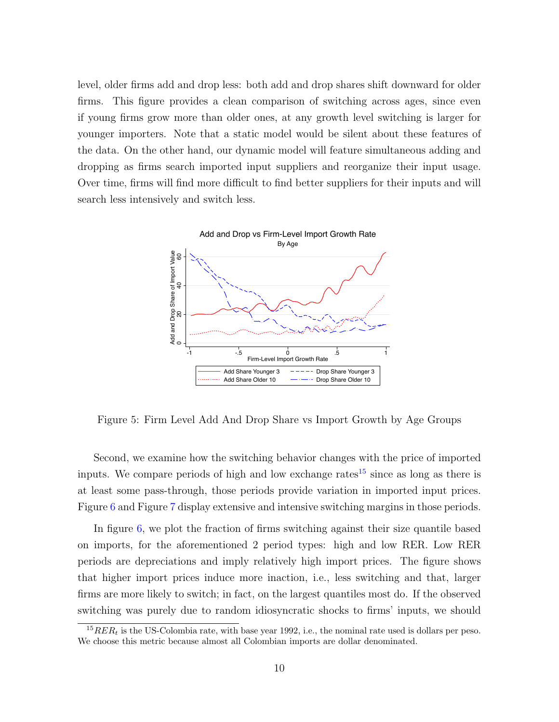level, older firms add and drop less: both add and drop shares shift downward for older firms. This figure provides a clean comparison of switching across ages, since even if young firms grow more than older ones, at any growth level switching is larger for younger importers. Note that a static model would be silent about these features of the data. On the other hand, our dynamic model will feature simultaneous adding and dropping as firms search imported input suppliers and reorganize their input usage. Over time, firms will find more difficult to find better suppliers for their inputs and will search less intensively and switch less.

<span id="page-9-0"></span>

Figure 5: Firm Level Add And Drop Share vs Import Growth by Age Groups

Second, we examine how the switching behavior changes with the price of imported inputs. We compare periods of high and low exchange rates<sup>[15](#page-9-1)</sup> since as long as there is at least some pass-through, those periods provide variation in imported input prices. Figure [6](#page-10-0) and Figure [7](#page-11-1) display extensive and intensive switching margins in those periods.

In figure [6,](#page-10-0) we plot the fraction of firms switching against their size quantile based on imports, for the aforementioned 2 period types: high and low RER. Low RER periods are depreciations and imply relatively high import prices. The figure shows that higher import prices induce more inaction, i.e., less switching and that, larger firms are more likely to switch; in fact, on the largest quantiles most do. If the observed switching was purely due to random idiosyncratic shocks to firms' inputs, we should

<span id="page-9-1"></span> ${}^{15}RER_t$  is the US-Colombia rate, with base year 1992, i.e., the nominal rate used is dollars per peso. We choose this metric because almost all Colombian imports are dollar denominated.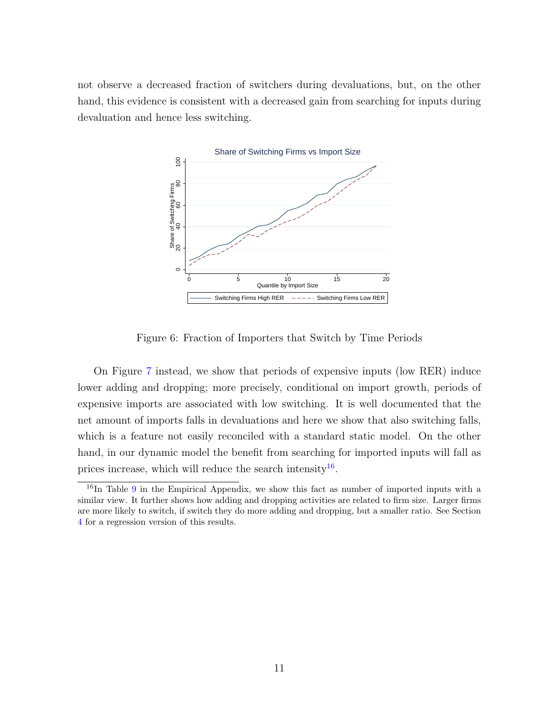<span id="page-10-0"></span>not observe a decreased fraction of switchers during devaluations, but, on the other hand, this evidence is consistent with a decreased gain from searching for inputs during devaluation and hence less switching.



Figure 6: Fraction of Importers that Switch by Time Periods

On Figure [7](#page-11-1) instead, we show that periods of expensive inputs (low RER) induce lower adding and dropping; more precisely, conditional on import growth, periods of expensive imports are associated with low switching. It is well documented that the net amount of imports falls in devaluations and here we show that also switching falls, which is a feature not easily reconciled with a standard static model. On the other hand, in our dynamic model the benefit from searching for imported inputs will fall as prices increase, which will reduce the search intensity<sup>[16](#page-10-1)</sup>.

<span id="page-10-1"></span><sup>&</sup>lt;sup>16</sup>In Table [9](#page-48-0) in the Empirical Appendix, we show this fact as number of imported inputs with a similar view. It further shows how adding and dropping activities are related to firm size. Larger firms are more likely to switch, if switch they do more adding and dropping, but a smaller ratio. See Section [4](#page-20-0) for a regression version of this results.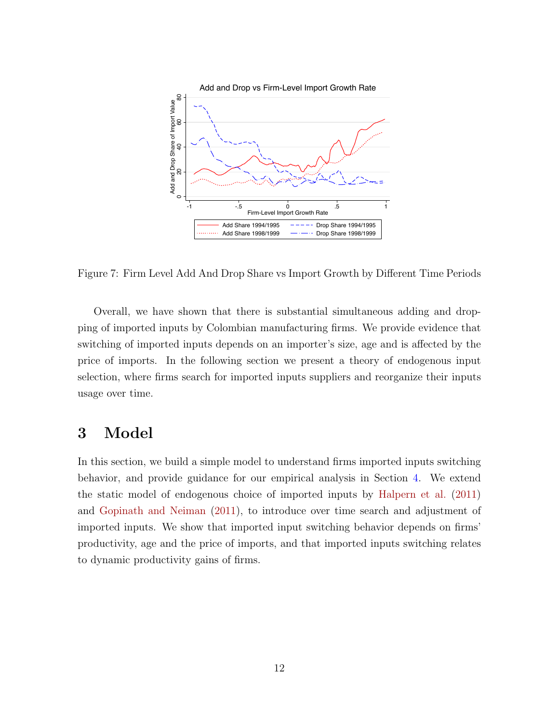<span id="page-11-2"></span><span id="page-11-1"></span>

Figure 7: Firm Level Add And Drop Share vs Import Growth by Different Time Periods

Overall, we have shown that there is substantial simultaneous adding and dropping of imported inputs by Colombian manufacturing firms. We provide evidence that switching of imported inputs depends on an importer's size, age and is affected by the price of imports. In the following section we present a theory of endogenous input selection, where firms search for imported inputs suppliers and reorganize their inputs usage over time.

# <span id="page-11-0"></span>3 Model

In this section, we build a simple model to understand firms imported inputs switching behavior, and provide guidance for our empirical analysis in Section [4.](#page-20-0) We extend the static model of endogenous choice of imported inputs by [Halpern et al.](#page-50-0) [\(2011\)](#page-50-0) and [Gopinath and Neiman](#page-50-1) [\(2011\)](#page-50-1), to introduce over time search and adjustment of imported inputs. We show that imported input switching behavior depends on firms' productivity, age and the price of imports, and that imported inputs switching relates to dynamic productivity gains of firms.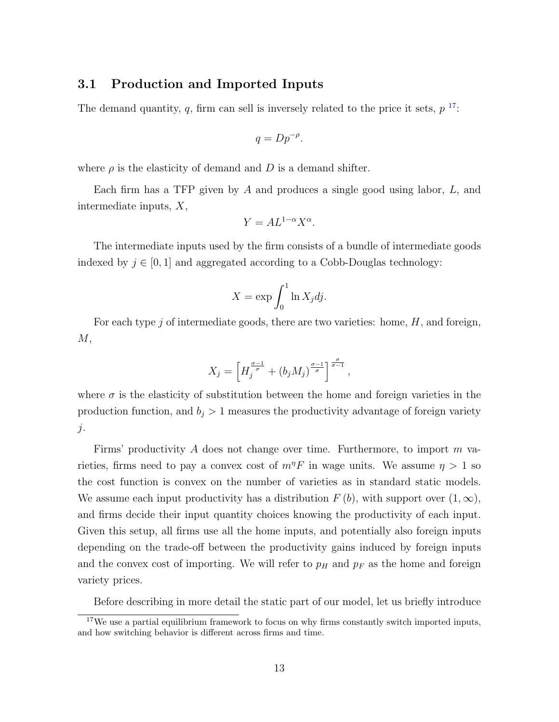### 3.1 Production and Imported Inputs

The demand quantity, q, firm can sell is inversely related to the price it sets,  $p^{-17}$  $p^{-17}$  $p^{-17}$ :

$$
q = Dp^{-\rho}.
$$

where  $\rho$  is the elasticity of demand and D is a demand shifter.

Each firm has a TFP given by  $A$  and produces a single good using labor,  $L$ , and intermediate inputs, X,

$$
Y = A L^{1-\alpha} X^{\alpha}.
$$

The intermediate inputs used by the firm consists of a bundle of intermediate goods indexed by  $j \in [0, 1]$  and aggregated according to a Cobb-Douglas technology:

$$
X = \exp \int_0^1 \ln X_j \, dj.
$$

For each type j of intermediate goods, there are two varieties: home,  $H$ , and foreign,  $M,$ 

$$
X_j = \left[ H_j^{\frac{\sigma-1}{\sigma}} + (b_j M_j)^{\frac{\sigma-1}{\sigma}} \right]^{\frac{\sigma}{\sigma-1}},
$$

where  $\sigma$  is the elasticity of substitution between the home and foreign varieties in the production function, and  $b_j > 1$  measures the productivity advantage of foreign variety  $j$ .

Firms' productivity A does not change over time. Furthermore, to import  $m$  varieties, firms need to pay a convex cost of  $m^{\eta}F$  in wage units. We assume  $\eta > 1$  so the cost function is convex on the number of varieties as in standard static models. We assume each input productivity has a distribution  $F(b)$ , with support over  $(1,\infty)$ , and firms decide their input quantity choices knowing the productivity of each input. Given this setup, all firms use all the home inputs, and potentially also foreign inputs depending on the trade-off between the productivity gains induced by foreign inputs and the convex cost of importing. We will refer to  $p_H$  and  $p_F$  as the home and foreign variety prices.

<span id="page-12-0"></span>Before describing in more detail the static part of our model, let us briefly introduce

 $17$ We use a partial equilibrium framework to focus on why firms constantly switch imported inputs, and how switching behavior is different across firms and time.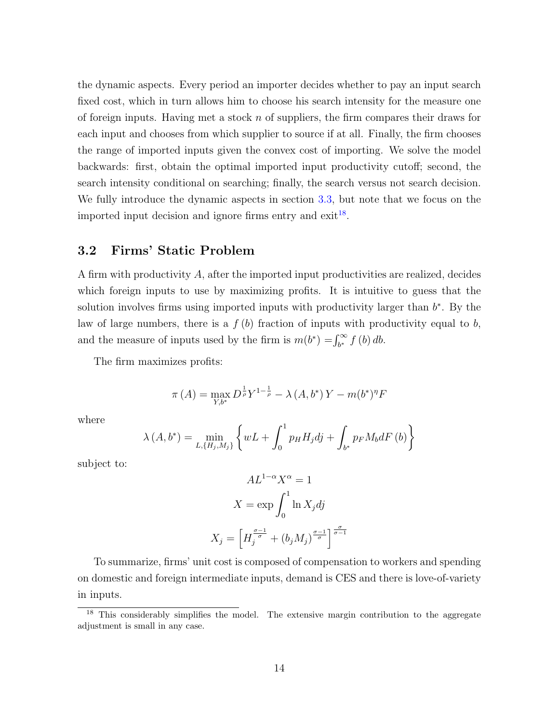the dynamic aspects. Every period an importer decides whether to pay an input search fixed cost, which in turn allows him to choose his search intensity for the measure one of foreign inputs. Having met a stock  $n$  of suppliers, the firm compares their draws for each input and chooses from which supplier to source if at all. Finally, the firm chooses the range of imported inputs given the convex cost of importing. We solve the model backwards: first, obtain the optimal imported input productivity cutoff; second, the search intensity conditional on searching; finally, the search versus not search decision. We fully introduce the dynamic aspects in section [3.3,](#page-15-0) but note that we focus on the imported input decision and ignore firms entry and  $\text{exit}^{18}$  $\text{exit}^{18}$  $\text{exit}^{18}$ .

## 3.2 Firms' Static Problem

A firm with productivity A, after the imported input productivities are realized, decides which foreign inputs to use by maximizing profits. It is intuitive to guess that the solution involves firms using imported inputs with productivity larger than  $b^*$ . By the law of large numbers, there is a  $f(b)$  fraction of inputs with productivity equal to b, and the measure of inputs used by the firm is  $m(b^*) = \int_{b^*}^{\infty} f(b) db$ .

The firm maximizes profits:

$$
\pi(A) = \max_{Y, b^*} D^{\frac{1}{\rho}} Y^{1 - \frac{1}{\rho}} - \lambda(A, b^*) Y - m(b^*)^{\eta} F
$$

where

$$
\lambda(A, b^*) = \min_{L, \{H_j, M_j\}} \left\{ wL + \int_0^1 p_H H_j dj + \int_{b^*} p_F M_b dF(b) \right\}
$$

subject to:

$$
AL^{1-\alpha}X^{\alpha} = 1
$$

$$
X = \exp \int_0^1 \ln X_j dj
$$

$$
X_j = \left[ H_j^{\frac{\sigma-1}{\sigma}} + (b_j M_j)^{\frac{\sigma-1}{\sigma}} \right]^{\frac{\sigma}{\sigma-1}}
$$

To summarize, firms' unit cost is composed of compensation to workers and spending on domestic and foreign intermediate inputs, demand is CES and there is love-of-variety in inputs.

<span id="page-13-0"></span><sup>&</sup>lt;sup>18</sup> This considerably simplifies the model. The extensive margin contribution to the aggregate adjustment is small in any case.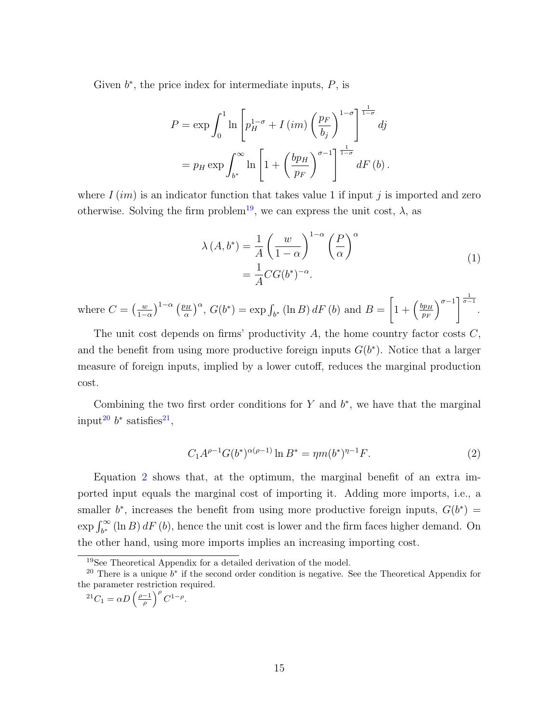Given  $b^*$ , the price index for intermediate inputs,  $P$ , is

$$
P = \exp \int_0^1 \ln \left[ p_H^{1-\sigma} + I \left( im \right) \left( \frac{p_F}{b_j} \right)^{1-\sigma} \right]_0^{\frac{1}{1-\sigma}} dj
$$
  
=  $p_H \exp \int_{b^*}^{\infty} \ln \left[ 1 + \left( \frac{bp_H}{p_F} \right)^{\sigma-1} \right]_0^{\frac{1}{1-\sigma}} dF \left( b \right).$ 

where  $I(im)$  is an indicator function that takes value 1 if input j is imported and zero otherwise. Solving the firm problem<sup>[19](#page-14-0)</sup>, we can express the unit cost,  $\lambda$ , as

$$
\lambda(A, b^*) = \frac{1}{A} \left(\frac{w}{1-\alpha}\right)^{1-\alpha} \left(\frac{P}{\alpha}\right)^{\alpha}
$$

$$
= \frac{1}{A} C G(b^*)^{-\alpha}.
$$
 (1)

where  $C = \left(\frac{w}{1 -}\right)$  $\frac{w}{1-\alpha}\Big)^{1-\alpha}$   $\left(\frac{p_H}{\alpha}\right)$  $\left(\frac{bH}{\alpha}\right)^{\alpha}$ ,  $G(b^*) = \exp \int_{b^*} (\ln B) dF(b)$  and  $B =$  $\left[1+\left(\frac{bp_H}{n_B}\right)\right]$  $p_F$  $\int_0^{\sigma-1}$   $\frac{1}{\sigma-1}$ .

The unit cost depends on firms' productivity A, the home country factor costs  $C$ , and the benefit from using more productive foreign inputs  $G(b^*)$ . Notice that a larger measure of foreign inputs, implied by a lower cutoff, reduces the marginal production cost.

Combining the two first order conditions for  $Y$  and  $b^*$ , we have that the marginal input<sup>[20](#page-14-1)</sup>  $b^*$  satisfies<sup>[21](#page-14-2)</sup>,

<span id="page-14-3"></span>
$$
C_1 A^{\rho-1} G(b^*)^{\alpha(\rho-1)} \ln B^* = \eta m(b^*)^{\eta-1} F. \tag{2}
$$

Equation [2](#page-14-3) shows that, at the optimum, the marginal benefit of an extra imported input equals the marginal cost of importing it. Adding more imports, i.e., a smaller  $b^*$ , increases the benefit from using more productive foreign inputs,  $G(b^*)$  =  $\exp \int_{b^*}^{\infty} (\ln B) dF(b)$ , hence the unit cost is lower and the firm faces higher demand. On the other hand, using more imports implies an increasing importing cost.

<span id="page-14-2"></span>
$$
^{21}C_1 = \alpha D \left(\frac{\rho - 1}{\rho}\right)^{\rho} C^{1-\rho}.
$$

<span id="page-14-1"></span><span id="page-14-0"></span><sup>19</sup>See Theoretical Appendix for a detailed derivation of the model.

<sup>&</sup>lt;sup>20</sup> There is a unique  $b^*$  if the second order condition is negative. See the Theoretical Appendix for the parameter restriction required.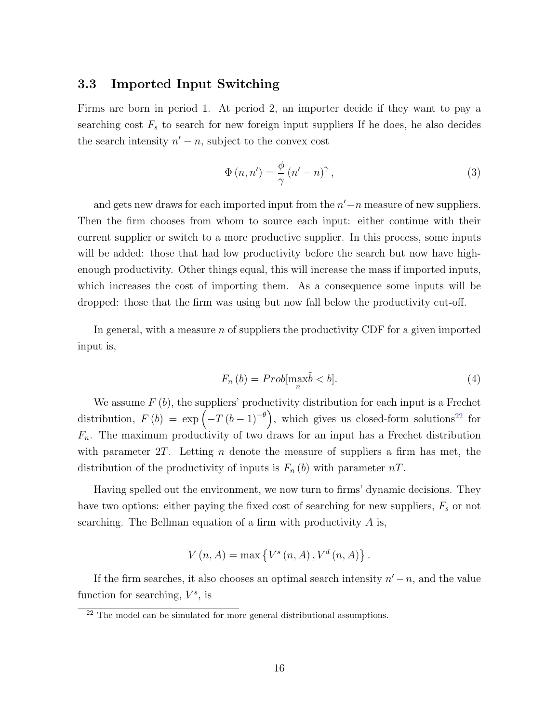### <span id="page-15-0"></span>3.3 Imported Input Switching

Firms are born in period 1. At period 2, an importer decide if they want to pay a searching cost  $F<sub>s</sub>$  to search for new foreign input suppliers If he does, he also decides the search intensity  $n' - n$ , subject to the convex cost

$$
\Phi(n, n') = \frac{\phi}{\gamma} (n' - n)^\gamma, \qquad (3)
$$

and gets new draws for each imported input from the  $n'-n$  measure of new suppliers. Then the firm chooses from whom to source each input: either continue with their current supplier or switch to a more productive supplier. In this process, some inputs will be added: those that had low productivity before the search but now have highenough productivity. Other things equal, this will increase the mass if imported inputs, which increases the cost of importing them. As a consequence some inputs will be dropped: those that the firm was using but now fall below the productivity cut-off.

In general, with a measure  $n$  of suppliers the productivity CDF for a given imported input is,

$$
F_n(b) = Prob[\max_n \tilde{b} < b].\tag{4}
$$

We assume  $F(b)$ , the suppliers' productivity distribution for each input is a Frechet distribution,  $F(b) = \exp(-T(b-1)^{-\theta})$ , which gives us closed-form solutions<sup>[22](#page-15-1)</sup> for  $F_n$ . The maximum productivity of two draws for an input has a Frechet distribution with parameter  $2T$ . Letting n denote the measure of suppliers a firm has met, the distribution of the productivity of inputs is  $F_n(b)$  with parameter  $nT$ .

Having spelled out the environment, we now turn to firms' dynamic decisions. They have two options: either paying the fixed cost of searching for new suppliers,  $F_s$  or not searching. The Bellman equation of a firm with productivity  $A$  is,

$$
V(n, A) = \max \left\{ V^s(n, A), V^d(n, A) \right\}.
$$

If the firm searches, it also chooses an optimal search intensity  $n' - n$ , and the value function for searching,  $V^s$ , is

<span id="page-15-1"></span> $^{22}$  The model can be simulated for more general distributional assumptions.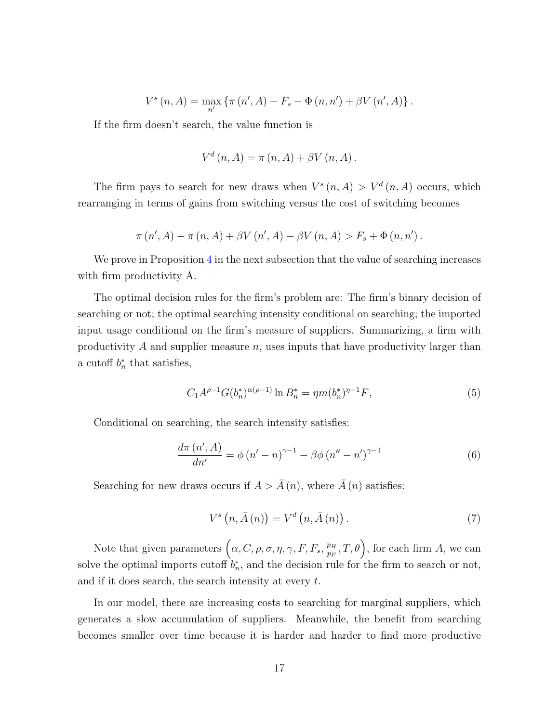$$
V^{s}(n, A) = \max_{n'} \{ \pi(n', A) - F_{s} - \Phi(n, n') + \beta V(n', A) \}.
$$

If the firm doesn't search, the value function is

$$
V^{d}(n, A) = \pi(n, A) + \beta V(n, A).
$$

The firm pays to search for new draws when  $V^s(n, A) > V^d(n, A)$  occurs, which rearranging in terms of gains from switching versus the cost of switching becomes

$$
\pi(n', A) - \pi(n, A) + \beta V(n', A) - \beta V(n, A) > F_s + \Phi(n, n').
$$

We prove in Proposition [4](#page-18-0) in the next subsection that the value of searching increases with firm productivity A.

The optimal decision rules for the firm's problem are: The firm's binary decision of searching or not; the optimal searching intensity conditional on searching; the imported input usage conditional on the firm's measure of suppliers. Summarizing, a firm with productivity  $A$  and supplier measure  $n$ , uses inputs that have productivity larger than a cutoff  $b_n^*$  that satisfies,

$$
C_1 A^{\rho-1} G(b_n^*)^{\alpha(\rho-1)} \ln B_n^* = \eta m (b_n^*)^{\eta-1} F,
$$
\n(5)

Conditional on searching, the search intensity satisfies:

<span id="page-16-0"></span>
$$
\frac{d\pi (n', A)}{dn'} = \phi (n' - n)^{\gamma - 1} - \beta \phi (n'' - n')^{\gamma - 1}
$$
 (6)

Searching for new draws occurs if  $A > \overline{A}(n)$ , where  $\overline{A}(n)$  satisfies:

$$
V^{s}\left(n,\bar{A}\left(n\right)\right)=V^{d}\left(n,\bar{A}\left(n\right)\right).
$$
\n(7)

Note that given parameters  $(\alpha, C, \rho, \sigma, \eta, \gamma, F, F_s, \frac{p_H}{p_H})$  $\left(\frac{p_H}{p_F}, T, \theta\right)$ , for each firm A, we can solve the optimal imports cutoff  $b_n^*$ , and the decision rule for the firm to search or not, and if it does search, the search intensity at every t.

In our model, there are increasing costs to searching for marginal suppliers, which generates a slow accumulation of suppliers. Meanwhile, the benefit from searching becomes smaller over time because it is harder and harder to find more productive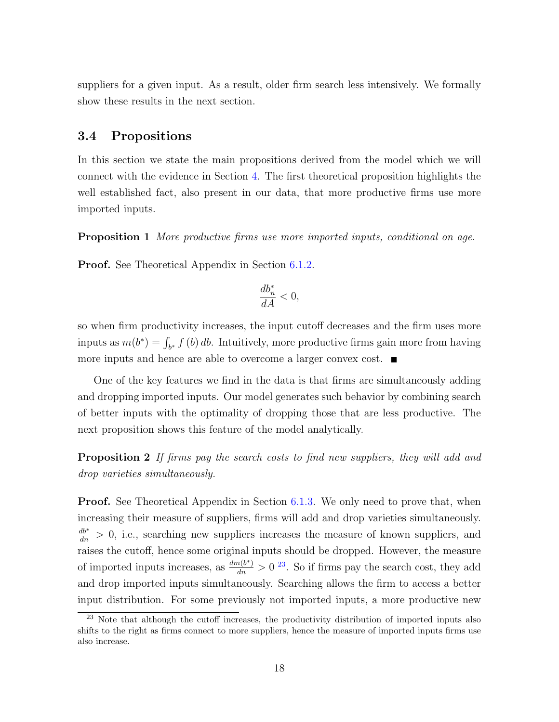suppliers for a given input. As a result, older firm search less intensively. We formally show these results in the next section.

### 3.4 Propositions

In this section we state the main propositions derived from the model which we will connect with the evidence in Section [4.](#page-20-0) The first theoretical proposition highlights the well established fact, also present in our data, that more productive firms use more imported inputs.

<span id="page-17-1"></span>Proposition 1 More productive firms use more imported inputs, conditional on age.

Proof. See Theoretical Appendix in Section [6.1.2.](#page-35-0)

$$
\frac{db_n^*}{dA} < 0,
$$

so when firm productivity increases, the input cutoff decreases and the firm uses more inputs as  $m(b^*) = \int_{b^*} f(b) db$ . Intuitively, more productive firms gain more from having more inputs and hence are able to overcome a larger convex cost.

One of the key features we find in the data is that firms are simultaneously adding and dropping imported inputs. Our model generates such behavior by combining search of better inputs with the optimality of dropping those that are less productive. The next proposition shows this feature of the model analytically.

<span id="page-17-2"></span>**Proposition 2** If firms pay the search costs to find new suppliers, they will add and drop varieties simultaneously.

**Proof.** See Theoretical Appendix in Section [6.1.3.](#page-36-0) We only need to prove that, when increasing their measure of suppliers, firms will add and drop varieties simultaneously.  $\frac{db^*}{dn} > 0$ , i.e., searching new suppliers increases the measure of known suppliers, and raises the cutoff, hence some original inputs should be dropped. However, the measure of imported inputs increases, as  $\frac{dm(b^*)}{dn} > 0$  <sup>[23](#page-17-0)</sup>. So if firms pay the search cost, they add and drop imported inputs simultaneously. Searching allows the firm to access a better input distribution. For some previously not imported inputs, a more productive new

<span id="page-17-0"></span><sup>&</sup>lt;sup>23</sup> Note that although the cutoff increases, the productivity distribution of imported inputs also shifts to the right as firms connect to more suppliers, hence the measure of imported inputs firms use also increase.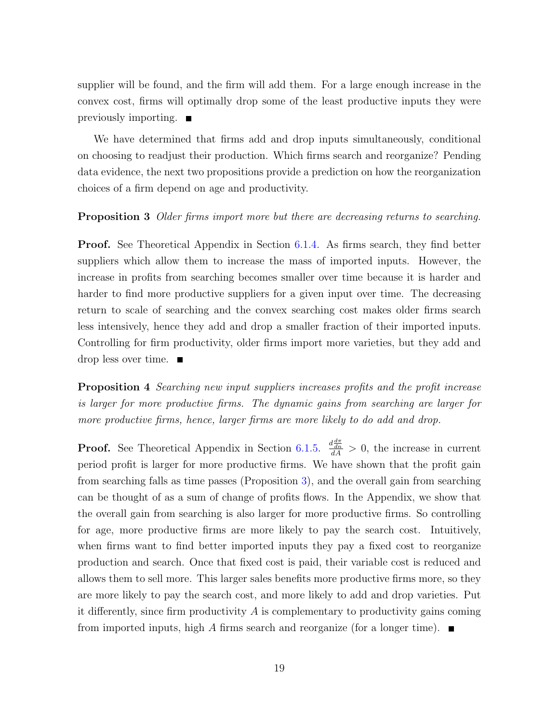supplier will be found, and the firm will add them. For a large enough increase in the convex cost, firms will optimally drop some of the least productive inputs they were previously importing.  $\blacksquare$ 

We have determined that firms add and drop inputs simultaneously, conditional on choosing to readjust their production. Which firms search and reorganize? Pending data evidence, the next two propositions provide a prediction on how the reorganization choices of a firm depend on age and productivity.

#### <span id="page-18-1"></span>**Proposition 3** Older firms import more but there are decreasing returns to searching.

Proof. See Theoretical Appendix in Section [6.1.4.](#page-37-0) As firms search, they find better suppliers which allow them to increase the mass of imported inputs. However, the increase in profits from searching becomes smaller over time because it is harder and harder to find more productive suppliers for a given input over time. The decreasing return to scale of searching and the convex searching cost makes older firms search less intensively, hence they add and drop a smaller fraction of their imported inputs. Controlling for firm productivity, older firms import more varieties, but they add and drop less over time.  $\blacksquare$ 

<span id="page-18-0"></span>**Proposition 4** Searching new input suppliers increases profits and the profit increase is larger for more productive firms. The dynamic gains from searching are larger for more productive firms, hence, larger firms are more likely to do add and drop.

**Proof.** See Theoretical Appendix in Section [6.1.5.](#page-39-0)  $\frac{d\frac{d\pi}{dn}}{dA} > 0$ , the increase in current period profit is larger for more productive firms. We have shown that the profit gain from searching falls as time passes (Proposition [3\)](#page-18-1), and the overall gain from searching can be thought of as a sum of change of profits flows. In the Appendix, we show that the overall gain from searching is also larger for more productive firms. So controlling for age, more productive firms are more likely to pay the search cost. Intuitively, when firms want to find better imported inputs they pay a fixed cost to reorganize production and search. Once that fixed cost is paid, their variable cost is reduced and allows them to sell more. This larger sales benefits more productive firms more, so they are more likely to pay the search cost, and more likely to add and drop varieties. Put it differently, since firm productivity  $A$  is complementary to productivity gains coming from imported inputs, high A firms search and reorganize (for a longer time).  $\blacksquare$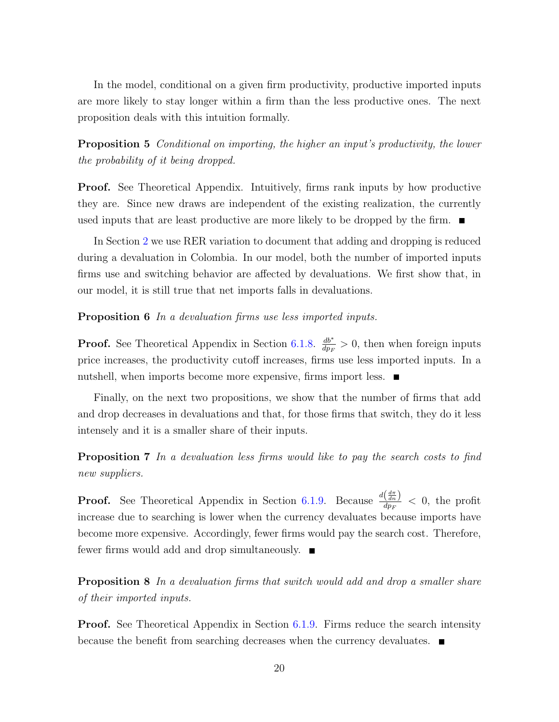In the model, conditional on a given firm productivity, productive imported inputs are more likely to stay longer within a firm than the less productive ones. The next proposition deals with this intuition formally.

<span id="page-19-2"></span>Proposition 5 Conditional on importing, the higher an input's productivity, the lower the probability of it being dropped.

**Proof.** See Theoretical Appendix. Intuitively, firms rank inputs by how productive they are. Since new draws are independent of the existing realization, the currently used inputs that are least productive are more likely to be dropped by the firm.  $\blacksquare$ 

In Section [2](#page-4-0) we use RER variation to document that adding and dropping is reduced during a devaluation in Colombia. In our model, both the number of imported inputs firms use and switching behavior are affected by devaluations. We first show that, in our model, it is still true that net imports falls in devaluations.

<span id="page-19-0"></span>Proposition 6 In a devaluation firms use less imported inputs.

**Proof.** See Theoretical Appendix in Section [6.1.8.](#page-41-0)  $\frac{db^*}{dx^n}$  $\frac{db^*}{dp_F} > 0$ , then when foreign inputs price increases, the productivity cutoff increases, firms use less imported inputs. In a nutshell, when imports become more expensive, firms import less.

Finally, on the next two propositions, we show that the number of firms that add and drop decreases in devaluations and that, for those firms that switch, they do it less intensely and it is a smaller share of their inputs.

<span id="page-19-1"></span>**Proposition 7** In a devaluation less firms would like to pay the search costs to find new suppliers.

**Proof.** See Theoretical Appendix in Section [6.1.9.](#page-41-1) Because  $\frac{d(\frac{d\pi}{dn})}{dn}$  $\frac{\sqrt{dn} }{dp_F} < 0$ , the profit increase due to searching is lower when the currency devaluates because imports have become more expensive. Accordingly, fewer firms would pay the search cost. Therefore, fewer firms would add and drop simultaneously.

<span id="page-19-3"></span>Proposition 8 In a devaluation firms that switch would add and drop a smaller share of their imported inputs.

**Proof.** See Theoretical Appendix in Section [6.1.9.](#page-41-1) Firms reduce the search intensity because the benefit from searching decreases when the currency devaluates.  $\blacksquare$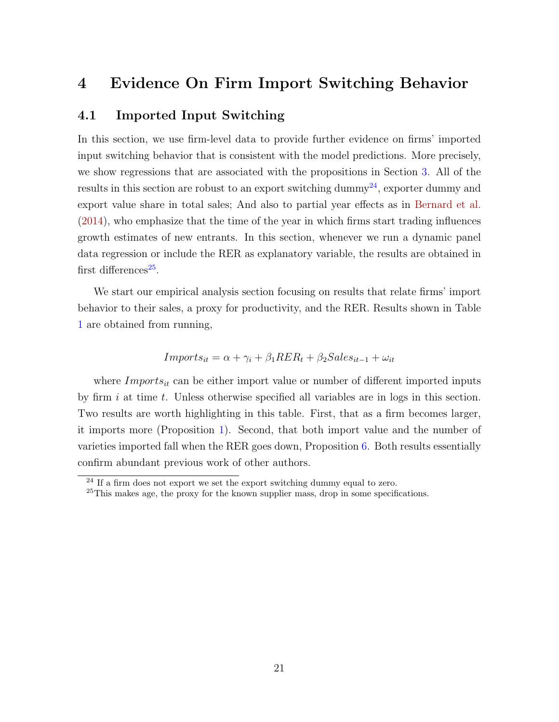# <span id="page-20-3"></span><span id="page-20-0"></span>4 Evidence On Firm Import Switching Behavior

# 4.1 Imported Input Switching

In this section, we use firm-level data to provide further evidence on firms' imported input switching behavior that is consistent with the model predictions. More precisely, we show regressions that are associated with the propositions in Section [3.](#page-11-0) All of the results in this section are robust to an export switching dummy<sup>[24](#page-20-1)</sup>, exporter dummy and export value share in total sales; And also to partial year effects as in [Bernard et al.](#page-49-3) [\(2014\)](#page-49-3), who emphasize that the time of the year in which firms start trading influences growth estimates of new entrants. In this section, whenever we run a dynamic panel data regression or include the RER as explanatory variable, the results are obtained in first differences<sup>[25](#page-20-2)</sup>.

We start our empirical analysis section focusing on results that relate firms' import behavior to their sales, a proxy for productivity, and the RER. Results shown in Table [1](#page-21-0) are obtained from running,

$$
Imports_{it} = \alpha + \gamma_i + \beta_1 RER_t + \beta_2 Sales_{it-1} + \omega_{it}
$$

where  $Imports_{it}$  can be either import value or number of different imported inputs by firm  $i$  at time  $t$ . Unless otherwise specified all variables are in logs in this section. Two results are worth highlighting in this table. First, that as a firm becomes larger, it imports more (Proposition [1\)](#page-17-1). Second, that both import value and the number of varieties imported fall when the RER goes down, Proposition [6.](#page-19-0) Both results essentially confirm abundant previous work of other authors.

<span id="page-20-1"></span> $^{24}$  If a firm does not export we set the export switching dummy equal to zero.

<span id="page-20-2"></span><sup>&</sup>lt;sup>25</sup>This makes age, the proxy for the known supplier mass, drop in some specifications.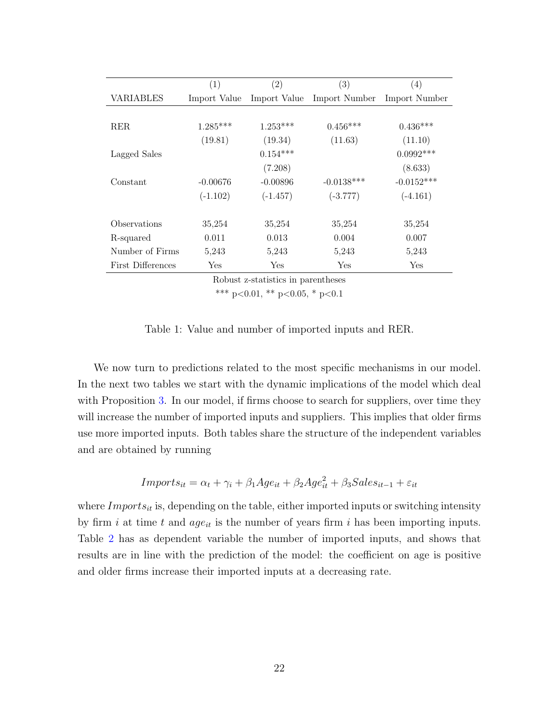<span id="page-21-0"></span>

|                   | (1)                                | (2)          | $\left( 3\right)$ | $\left( 4\right)$ |  |  |  |  |  |
|-------------------|------------------------------------|--------------|-------------------|-------------------|--|--|--|--|--|
| <b>VARIABLES</b>  | Import Value                       | Import Value | Import Number     | Import Number     |  |  |  |  |  |
|                   |                                    |              |                   |                   |  |  |  |  |  |
| <b>RER</b>        | $1.285***$                         | $1.253***$   | $0.456***$        | $0.436***$        |  |  |  |  |  |
|                   | (19.81)                            | (19.34)      | (11.63)           | (11.10)           |  |  |  |  |  |
| Lagged Sales      |                                    | $0.154***$   |                   | $0.0992***$       |  |  |  |  |  |
|                   |                                    | (7.208)      |                   | (8.633)           |  |  |  |  |  |
| Constant          | $-0.00676$                         | $-0.00896$   | $-0.0138***$      | $-0.0152***$      |  |  |  |  |  |
|                   | $(-1.102)$                         | $(-1.457)$   | $(-3.777)$        | $(-4.161)$        |  |  |  |  |  |
|                   |                                    |              |                   |                   |  |  |  |  |  |
| Observations      | 35,254                             | 35,254       | 35,254            | 35,254            |  |  |  |  |  |
| R-squared         | 0.011                              | 0.013        | 0.004             | 0.007             |  |  |  |  |  |
| Number of Firms   | 5,243                              | 5,243        | 5,243             | 5,243             |  |  |  |  |  |
| First Differences | Yes                                | Yes          | Yes               | Yes               |  |  |  |  |  |
|                   | Dobust z statisties in parentheses |              |                   |                   |  |  |  |  |  |

Robust z-statistics in parentheses

\*\*\* p<0.01, \*\* p<0.05, \* p<0.1

Table 1: Value and number of imported inputs and RER.

We now turn to predictions related to the most specific mechanisms in our model. In the next two tables we start with the dynamic implications of the model which deal with Proposition [3.](#page-18-1) In our model, if firms choose to search for suppliers, over time they will increase the number of imported inputs and suppliers. This implies that older firms use more imported inputs. Both tables share the structure of the independent variables and are obtained by running

$$
Imports_{it} = \alpha_t + \gamma_i + \beta_1 Age_{it} + \beta_2 Age_{it}^2 + \beta_3 Sales_{it-1} + \varepsilon_{it}
$$

where  $Imports_{it}$  is, depending on the table, either imported inputs or switching intensity by firm i at time t and  $age_{it}$  is the number of years firm i has been importing inputs. Table [2](#page-22-0) has as dependent variable the number of imported inputs, and shows that results are in line with the prediction of the model: the coefficient on age is positive and older firms increase their imported inputs at a decreasing rate.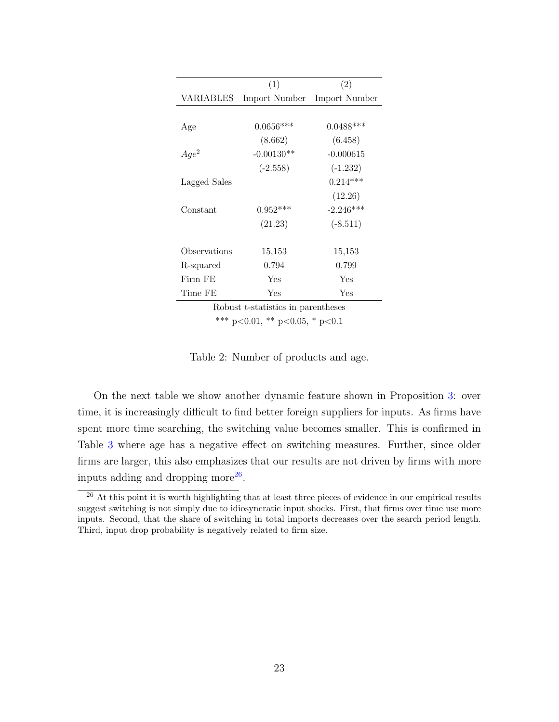<span id="page-22-0"></span>

|              | (1)           | (2)           |
|--------------|---------------|---------------|
| VARIABLES    | Import Number | Import Number |
|              |               |               |
| Age          | $0.0656***$   | $0.0488***$   |
|              | (8.662)       | (6.458)       |
| $Age^2$      | $-0.00130**$  | $-0.000615$   |
|              | $(-2.558)$    | $(-1.232)$    |
| Lagged Sales |               | $0.214***$    |
|              |               | (12.26)       |
| Constant     | $0.952***$    | $-2.246***$   |
|              | (21.23)       | $(-8.511)$    |
|              |               |               |
| Observations | 15,153        | 15,153        |
| R-squared    | 0.794         | 0.799         |
| Firm FE      | Yes           | Yes           |
| Time FE      | Yes           | Yes           |

Robust t-statistics in parentheses

\*\*\* p<0.01, \*\* p<0.05, \* p<0.1

Table 2: Number of products and age.

On the next table we show another dynamic feature shown in Proposition [3:](#page-18-1) over time, it is increasingly difficult to find better foreign suppliers for inputs. As firms have spent more time searching, the switching value becomes smaller. This is confirmed in Table [3](#page-23-0) where age has a negative effect on switching measures. Further, since older firms are larger, this also emphasizes that our results are not driven by firms with more inputs adding and dropping more $^{26}$  $^{26}$  $^{26}$ .

<span id="page-22-1"></span> $26$  At this point it is worth highlighting that at least three pieces of evidence in our empirical results suggest switching is not simply due to idiosyncratic input shocks. First, that firms over time use more inputs. Second, that the share of switching in total imports decreases over the search period length. Third, input drop probability is negatively related to firm size.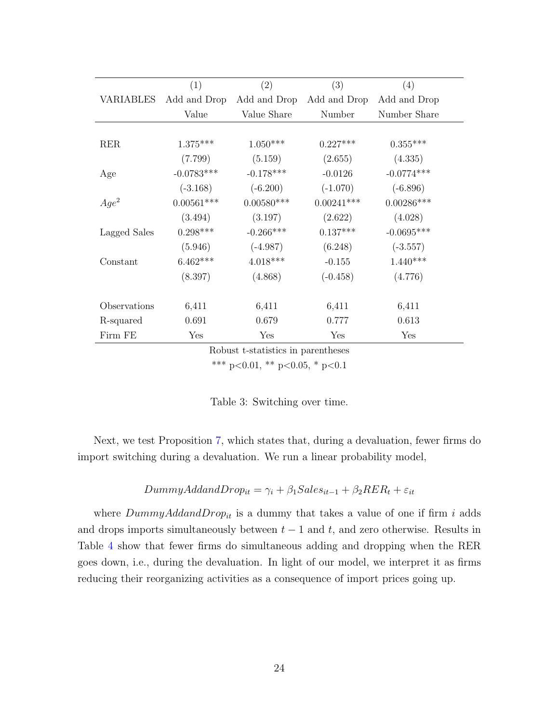<span id="page-23-0"></span>

|              | (1)          | (2)          | (3)          | (4)          |
|--------------|--------------|--------------|--------------|--------------|
| VARIABLES    | Add and Drop | Add and Drop | Add and Drop | Add and Drop |
|              | Value        | Value Share  | Number       | Number Share |
|              |              |              |              |              |
| <b>RER</b>   | $1.375***$   | $1.050***$   | $0.227***$   | $0.355***$   |
|              | (7.799)      | (5.159)      | (2.655)      | (4.335)      |
| Age          | $-0.0783***$ | $-0.178***$  | $-0.0126$    | $-0.0774***$ |
|              | $(-3.168)$   | $(-6.200)$   | $(-1.070)$   | $(-6.896)$   |
| $Age^2$      | $0.00561***$ | $0.00580***$ | $0.00241***$ | $0.00286***$ |
|              | (3.494)      | (3.197)      | (2.622)      | (4.028)      |
| Lagged Sales | $0.298***$   | $-0.266***$  | $0.137***$   | $-0.0695***$ |
|              | (5.946)      | $(-4.987)$   | (6.248)      | $(-3.557)$   |
| Constant     | $6.462***$   | $4.018***$   | $-0.155$     | $1.440***$   |
|              | (8.397)      | (4.868)      | $(-0.458)$   | (4.776)      |
|              |              |              |              |              |
| Observations | 6,411        | 6,411        | 6,411        | 6,411        |
| R-squared    | 0.691        | 0.679        | 0.777        | 0.613        |
| Firm FE      | Yes          | Yes          | Yes          | Yes          |

Robust t-statistics in parentheses

\*\*\* p<0.01, \*\* p<0.05, \* p<0.1

|  |  | Table 3: Switching over time. |  |  |
|--|--|-------------------------------|--|--|
|--|--|-------------------------------|--|--|

Next, we test Proposition [7,](#page-19-1) which states that, during a devaluation, fewer firms do import switching during a devaluation. We run a linear probability model,

$$
DummyAdd and Drop_{it} = \gamma_i + \beta_1 Sales_{it-1} + \beta_2 RER_t + \varepsilon_{it}
$$

where  $DummyAddandDrop_{it}$  is a dummy that takes a value of one if firm i adds and drops imports simultaneously between  $t - 1$  and  $t$ , and zero otherwise. Results in Table [4](#page-24-0) show that fewer firms do simultaneous adding and dropping when the RER goes down, i.e., during the devaluation. In light of our model, we interpret it as firms reducing their reorganizing activities as a consequence of import prices going up.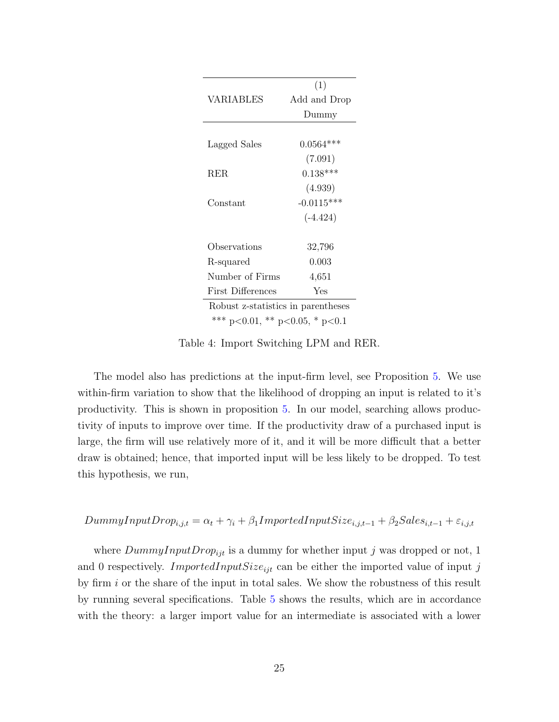<span id="page-24-0"></span>

|                                        | (1)          |  |  |  |  |
|----------------------------------------|--------------|--|--|--|--|
| VARIABLES                              | Add and Drop |  |  |  |  |
|                                        | Dummy        |  |  |  |  |
|                                        |              |  |  |  |  |
| Lagged Sales                           | $0.0564***$  |  |  |  |  |
|                                        | (7.091)      |  |  |  |  |
| RER.                                   | $0.138***$   |  |  |  |  |
|                                        | (4.939)      |  |  |  |  |
| Constant                               | $-0.0115***$ |  |  |  |  |
|                                        | $(-4.424)$   |  |  |  |  |
|                                        |              |  |  |  |  |
| Observations                           | 32,796       |  |  |  |  |
| R-squared                              | 0.003        |  |  |  |  |
| Number of Firms                        | 4,651        |  |  |  |  |
| First Differences                      | Yes          |  |  |  |  |
| Robust z-statistics in parentheses     |              |  |  |  |  |
| *** $p<0.01$ , ** $p<0.05$ , * $p<0.1$ |              |  |  |  |  |

Table 4: Import Switching LPM and RER.

The model also has predictions at the input-firm level, see Proposition [5.](#page-19-2) We use within-firm variation to show that the likelihood of dropping an input is related to it's productivity. This is shown in proposition [5.](#page-19-2) In our model, searching allows productivity of inputs to improve over time. If the productivity draw of a purchased input is large, the firm will use relatively more of it, and it will be more difficult that a better draw is obtained; hence, that imported input will be less likely to be dropped. To test this hypothesis, we run,

$$
DummyInputDrop_{i,j,t} = \alpha_t + \gamma_i + \beta_1 ImportedInputSize_{i,j,t-1} + \beta_2 Sales_{i,t-1} + \varepsilon_{i,j,t}
$$

where  $DummyInputDrop_{ijt}$  is a dummy for whether input j was dropped or not, 1 and 0 respectively. *ImportedInputSize<sub>ijt</sub>* can be either the imported value of input j by firm i or the share of the input in total sales. We show the robustness of this result by running several specifications. Table [5](#page-25-0) shows the results, which are in accordance with the theory: a larger import value for an intermediate is associated with a lower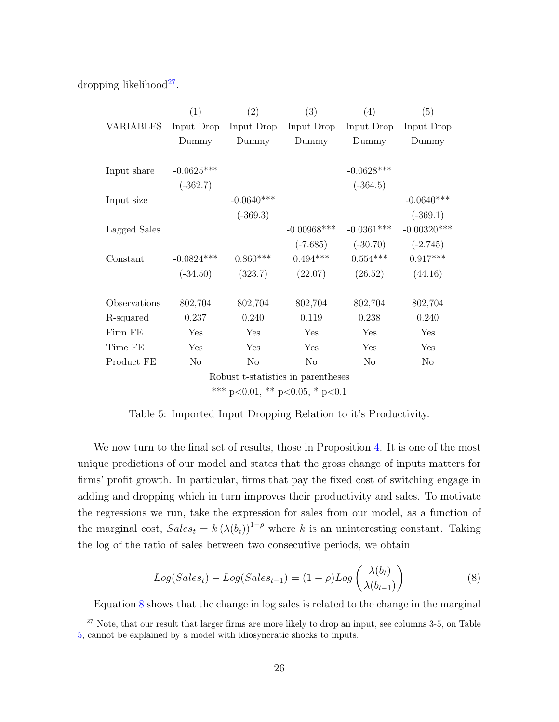<span id="page-25-0"></span>

| dropping likelihood <sup>27</sup> . |  |
|-------------------------------------|--|
|                                     |  |

|              | (1)          | (2)          | (3)            | (4)          | (5)           |
|--------------|--------------|--------------|----------------|--------------|---------------|
| VARIABLES    | Input Drop   | Input Drop   | Input Drop     | Input Drop   | Input Drop    |
|              | Dummy        | Dummy        | Dummy          | Dummy        | Dummy         |
|              |              |              |                |              |               |
| Input share  | $-0.0625***$ |              |                | $-0.0628***$ |               |
|              | $(-362.7)$   |              |                | $(-364.5)$   |               |
| Input size   |              | $-0.0640***$ |                |              | $-0.0640***$  |
|              |              | $(-369.3)$   |                |              | $(-369.1)$    |
| Lagged Sales |              |              | $-0.00968$ *** | $-0.0361***$ | $-0.00320***$ |
|              |              |              | $(-7.685)$     | $(-30.70)$   | $(-2.745)$    |
| Constant     | $-0.0824***$ | $0.860***$   | $0.494***$     | $0.554***$   | $0.917***$    |
|              | $(-34.50)$   | (323.7)      | (22.07)        | (26.52)      | (44.16)       |
|              |              |              |                |              |               |
| Observations | 802,704      | 802,704      | 802,704        | 802,704      | 802,704       |
| R-squared    | 0.237        | 0.240        | 0.119          | 0.238        | 0.240         |
| Firm FE      | Yes          | Yes          | Yes            | Yes          | Yes           |
| Time FE      | Yes          | Yes          | Yes            | Yes          | Yes           |
| Product FE   | No           | No           | No             | No           | No            |

Robust t-statistics in parentheses

\*\*\* p<0.01, \*\* p<0.05, \* p<0.1

| Table 5: Imported Input Dropping Relation to it's Productivity. |  |  |  |  |
|-----------------------------------------------------------------|--|--|--|--|
|                                                                 |  |  |  |  |

We now turn to the final set of results, those in Proposition [4.](#page-18-0) It is one of the most unique predictions of our model and states that the gross change of inputs matters for firms' profit growth. In particular, firms that pay the fixed cost of switching engage in adding and dropping which in turn improves their productivity and sales. To motivate the regressions we run, take the expression for sales from our model, as a function of the marginal cost,  $Sales_t = k (\lambda(b_t))^{1-\rho}$  where k is an uninteresting constant. Taking the log of the ratio of sales between two consecutive periods, we obtain

<span id="page-25-2"></span>
$$
Log(Sales_t) - Log(Sales_{t-1}) = (1 - \rho)Log\left(\frac{\lambda(b_t)}{\lambda(b_{t-1})}\right)
$$
\n(8)

<span id="page-25-1"></span>Equation [8](#page-25-2) shows that the change in log sales is related to the change in the marginal

<sup>&</sup>lt;sup>27</sup> Note, that our result that larger firms are more likely to drop an input, see columns 3-5, on Table [5,](#page-25-0) cannot be explained by a model with idiosyncratic shocks to inputs.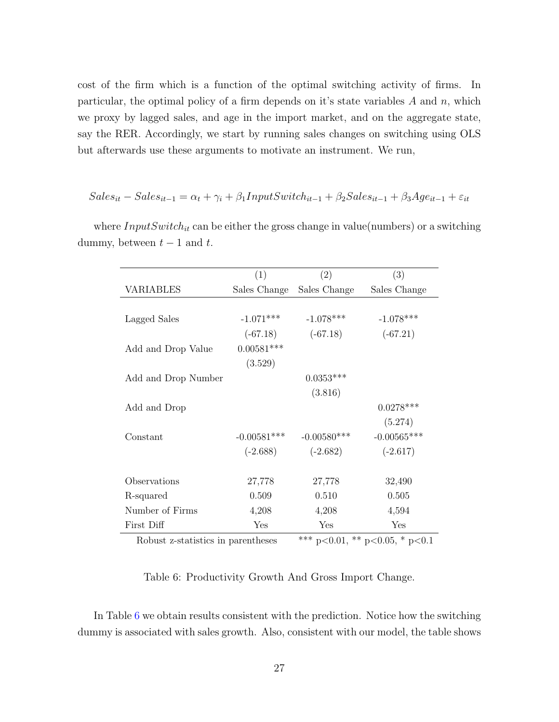cost of the firm which is a function of the optimal switching activity of firms. In particular, the optimal policy of a firm depends on it's state variables  $A$  and  $n$ , which we proxy by lagged sales, and age in the import market, and on the aggregate state, say the RER. Accordingly, we start by running sales changes on switching using OLS but afterwards use these arguments to motivate an instrument. We run,

$$
Sales_{it} - Sales_{it-1} = \alpha_t + \gamma_i + \beta_1 InputSwitch_{it-1} + \beta_2 Sales_{it-1} + \beta_3 Age_{it-1} + \varepsilon_{it}
$$

|                                    | (1)           | (2)            | (3)                            |
|------------------------------------|---------------|----------------|--------------------------------|
| VARIABLES                          | Sales Change  | Sales Change   | Sales Change                   |
|                                    |               |                |                                |
| Lagged Sales                       | $-1.071***$   | $-1.078***$    | $-1.078***$                    |
|                                    | $(-67.18)$    | $(-67.18)$     | $(-67.21)$                     |
| Add and Drop Value                 | $0.00581***$  |                |                                |
|                                    | (3.529)       |                |                                |
| Add and Drop Number                |               | $0.0353***$    |                                |
|                                    |               | (3.816)        |                                |
| Add and Drop                       |               |                | $0.0278***$                    |
|                                    |               |                | (5.274)                        |
| Constant                           | $-0.00581***$ | $-0.00580$ *** | $-0.00565***$                  |
|                                    | $(-2.688)$    | $(-2.682)$     | $(-2.617)$                     |
|                                    |               |                |                                |
| Observations                       | 27,778        | 27,778         | 32,490                         |
| R-squared                          | 0.509         | 0.510          | 0.505                          |
| Number of Firms                    | 4,208         | 4,208          | 4,594                          |
| First Diff                         | Yes           | Yes            | Yes                            |
| Robust z-statistics in parentheses |               |                | *** p<0.01, ** p<0.05, * p<0.1 |

<span id="page-26-0"></span>where  $InputSwitch_{it}$  can be either the gross change in value(numbers) or a switching dummy, between  $t-1$  and  $t$ .

Table 6: Productivity Growth And Gross Import Change.

In Table [6](#page-26-0) we obtain results consistent with the prediction. Notice how the switching dummy is associated with sales growth. Also, consistent with our model, the table shows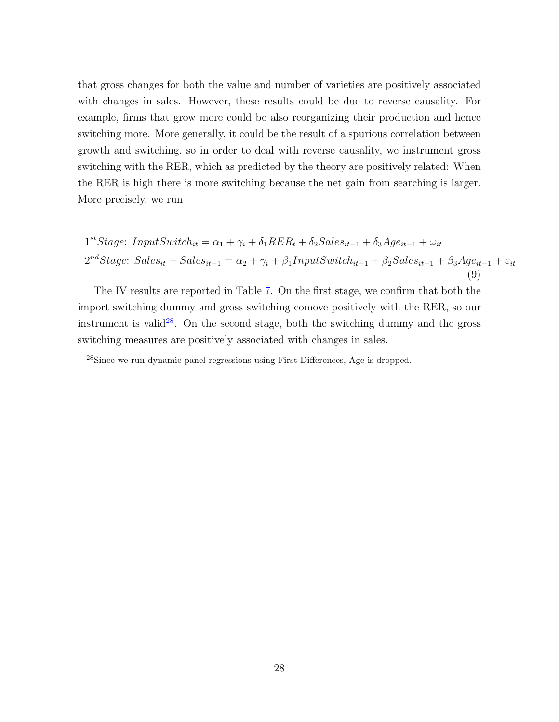that gross changes for both the value and number of varieties are positively associated with changes in sales. However, these results could be due to reverse causality. For example, firms that grow more could be also reorganizing their production and hence switching more. More generally, it could be the result of a spurious correlation between growth and switching, so in order to deal with reverse causality, we instrument gross switching with the RER, which as predicted by the theory are positively related: When the RER is high there is more switching because the net gain from searching is larger. More precisely, we run

<span id="page-27-1"></span>
$$
1^{st}Stage: InputSwitch_{it} = \alpha_1 + \gamma_i + \delta_1 RER_t + \delta_2 Sales_{it-1} + \delta_3 Age_{it-1} + \omega_{it}
$$
  

$$
2^{nd}Stage: Sales_{it} - Sales_{it-1} = \alpha_2 + \gamma_i + \beta_1 InputSwitch_{it-1} + \beta_2 Sales_{it-1} + \beta_3 Age_{it-1} + \varepsilon_{it}
$$
  
(9)

The IV results are reported in Table [7.](#page-28-0) On the first stage, we confirm that both the import switching dummy and gross switching comove positively with the RER, so our instrument is valid<sup>[28](#page-27-0)</sup>. On the second stage, both the switching dummy and the gross switching measures are positively associated with changes in sales.

<span id="page-27-0"></span><sup>&</sup>lt;sup>28</sup>Since we run dynamic panel regressions using First Differences, Age is dropped.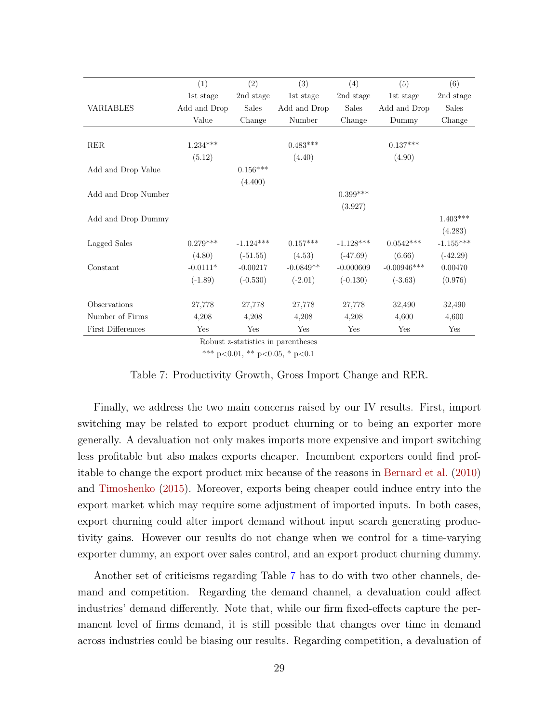<span id="page-28-1"></span><span id="page-28-0"></span>

|                     | (1)          | (2)          | (3)          | (4)          | (5)           | (6)          |
|---------------------|--------------|--------------|--------------|--------------|---------------|--------------|
|                     | 1st stage    | 2nd stage    | 1st stage    | 2nd stage    | 1st stage     | 2nd stage    |
| <b>VARIABLES</b>    | Add and Drop | <b>Sales</b> | Add and Drop | <b>Sales</b> | Add and Drop  | <b>Sales</b> |
|                     | Value        | Change       | Number       | Change       | Dummy         | Change       |
|                     |              |              |              |              |               |              |
| <b>RER</b>          | $1.234***$   |              | $0.483***$   |              | $0.137***$    |              |
|                     | (5.12)       |              | (4.40)       |              | (4.90)        |              |
| Add and Drop Value  |              | $0.156***$   |              |              |               |              |
|                     |              | (4.400)      |              |              |               |              |
| Add and Drop Number |              |              |              | $0.399***$   |               |              |
|                     |              |              |              | (3.927)      |               |              |
| Add and Drop Dummy  |              |              |              |              |               | $1.403***$   |
|                     |              |              |              |              |               | (4.283)      |
| Lagged Sales        | $0.279***$   | $-1.124***$  | $0.157***$   | $-1.128***$  | $0.0542***$   | $-1.155***$  |
|                     | (4.80)       | $(-51.55)$   | (4.53)       | $(-47.69)$   | (6.66)        | $(-42.29)$   |
| Constant            | $-0.0111*$   | $-0.00217$   | $-0.0849**$  | $-0.000609$  | $-0.00946***$ | 0.00470      |
|                     | $(-1.89)$    | $(-0.530)$   | $(-2.01)$    | $(-0.130)$   | $(-3.63)$     | (0.976)      |
|                     |              |              |              |              |               |              |
| Observations        | 27,778       | 27,778       | 27,778       | 27,778       | 32,490        | 32,490       |
| Number of Firms     | 4,208        | 4,208        | 4,208        | 4,208        | 4,600         | 4,600        |
| First Differences   | Yes          | Yes          | Yes          | Yes          | Yes           | Yes          |

Robust z-statistics in parentheses

\*\*\* p<0.01, \*\* p<0.05, \* p<0.1

#### Table 7: Productivity Growth, Gross Import Change and RER.

Finally, we address the two main concerns raised by our IV results. First, import switching may be related to export product churning or to being an exporter more generally. A devaluation not only makes imports more expensive and import switching less profitable but also makes exports cheaper. Incumbent exporters could find profitable to change the export product mix because of the reasons in [Bernard et al.](#page-49-2) [\(2010\)](#page-49-2) and [Timoshenko](#page-50-8) [\(2015\)](#page-50-8). Moreover, exports being cheaper could induce entry into the export market which may require some adjustment of imported inputs. In both cases, export churning could alter import demand without input search generating productivity gains. However our results do not change when we control for a time-varying exporter dummy, an export over sales control, and an export product churning dummy.

Another set of criticisms regarding Table [7](#page-28-0) has to do with two other channels, demand and competition. Regarding the demand channel, a devaluation could affect industries' demand differently. Note that, while our firm fixed-effects capture the permanent level of firms demand, it is still possible that changes over time in demand across industries could be biasing our results. Regarding competition, a devaluation of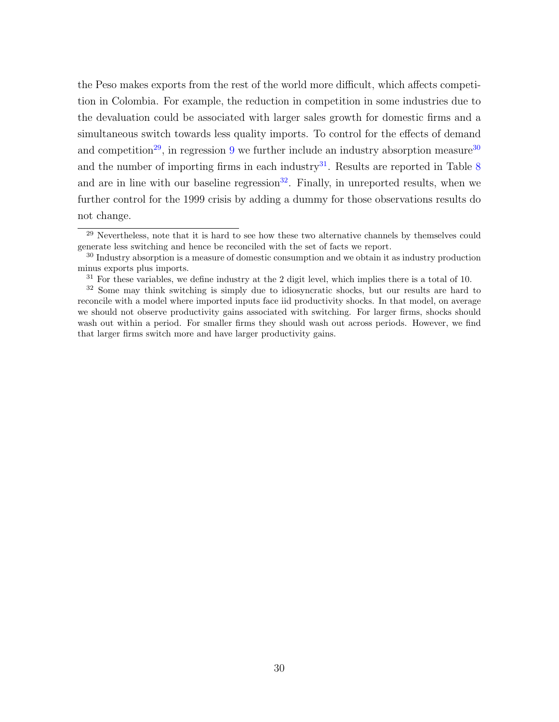the Peso makes exports from the rest of the world more difficult, which affects competition in Colombia. For example, the reduction in competition in some industries due to the devaluation could be associated with larger sales growth for domestic firms and a simultaneous switch towards less quality imports. To control for the effects of demand and competition<sup>[29](#page-29-0)</sup>, in regression [9](#page-27-1) we further include an industry absorption measure<sup>[30](#page-29-1)</sup> and the number of importing firms in each industry<sup>[31](#page-29-2)</sup>. Results are reported in Table  $8$ and are in line with our baseline regression<sup>[32](#page-29-3)</sup>. Finally, in unreported results, when we further control for the 1999 crisis by adding a dummy for those observations results do not change.

<span id="page-29-0"></span><sup>&</sup>lt;sup>29</sup> Nevertheless, note that it is hard to see how these two alternative channels by themselves could generate less switching and hence be reconciled with the set of facts we report.

<span id="page-29-1"></span><sup>&</sup>lt;sup>30</sup> Industry absorption is a measure of domestic consumption and we obtain it as industry production minus exports plus imports.

<span id="page-29-3"></span><span id="page-29-2"></span> $31$  For these variables, we define industry at the 2 digit level, which implies there is a total of 10.

<sup>&</sup>lt;sup>32</sup> Some may think switching is simply due to idiosyncratic shocks, but our results are hard to reconcile with a model where imported inputs face iid productivity shocks. In that model, on average we should not observe productivity gains associated with switching. For larger firms, shocks should wash out within a period. For smaller firms they should wash out across periods. However, we find that larger firms switch more and have larger productivity gains.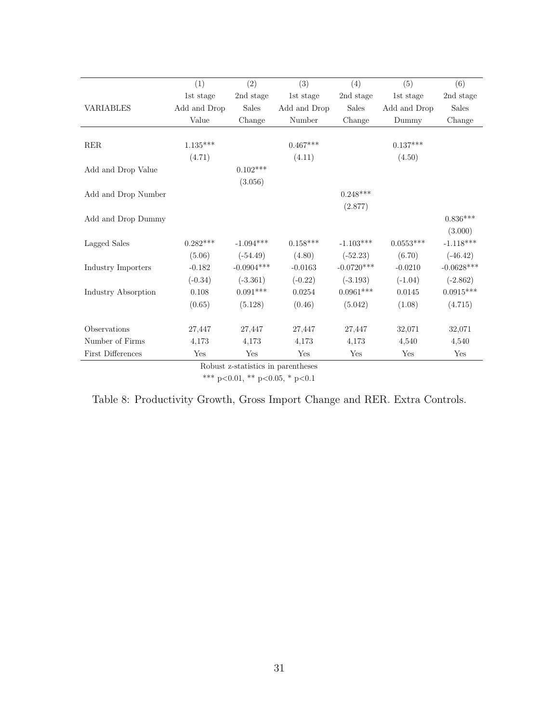<span id="page-30-0"></span>

|                          | (1)          | (2)          | (3)          | (4)          | (5)          | (6)          |
|--------------------------|--------------|--------------|--------------|--------------|--------------|--------------|
|                          | 1st stage    | 2nd stage    | 1st stage    | 2nd stage    | 1st stage    | 2nd stage    |
| <b>VARIABLES</b>         | Add and Drop | <b>Sales</b> | Add and Drop | <b>Sales</b> | Add and Drop | <b>Sales</b> |
|                          | Value        | Change       | Number       | Change       | Dummy        | Change       |
|                          |              |              |              |              |              |              |
| RER                      | $1.135***$   |              | $0.467***$   |              | $0.137***$   |              |
|                          | (4.71)       |              | (4.11)       |              | (4.50)       |              |
| Add and Drop Value       |              | $0.102***$   |              |              |              |              |
|                          |              | (3.056)      |              |              |              |              |
| Add and Drop Number      |              |              |              | $0.248***$   |              |              |
|                          |              |              |              | (2.877)      |              |              |
| Add and Drop Dummy       |              |              |              |              |              | $0.836***$   |
|                          |              |              |              |              |              | (3.000)      |
| Lagged Sales             | $0.282***$   | $-1.094***$  | $0.158***$   | $-1.103***$  | $0.0553***$  | $-1.118***$  |
|                          | (5.06)       | $(-54.49)$   | (4.80)       | $(-52.23)$   | (6.70)       | $(-46.42)$   |
| Industry Importers       | $-0.182$     | $-0.0904***$ | $-0.0163$    | $-0.0720***$ | $-0.0210$    | $-0.0628***$ |
|                          | $(-0.34)$    | $(-3.361)$   | $(-0.22)$    | $(-3.193)$   | $(-1.04)$    | $(-2.862)$   |
| Industry Absorption      | 0.108        | $0.091***$   | 0.0254       | $0.0961***$  | 0.0145       | $0.0915***$  |
|                          | (0.65)       | (5.128)      | (0.46)       | (5.042)      | (1.08)       | (4.715)      |
|                          |              |              |              |              |              |              |
| Observations             | 27,447       | 27,447       | 27,447       | 27,447       | 32,071       | 32,071       |
| Number of Firms          | 4,173        | 4,173        | 4,173        | 4,173        | 4,540        | 4,540        |
| <b>First Differences</b> | Yes          | Yes          | Yes          | Yes          | Yes          | Yes          |

Robust z-statistics in parentheses

\*\*\* p<0.01, \*\* p<0.05, \* p<0.1

| Table 8: Productivity Growth, Gross Import Change and RER. Extra Controls. |  |  |  |  |
|----------------------------------------------------------------------------|--|--|--|--|
|                                                                            |  |  |  |  |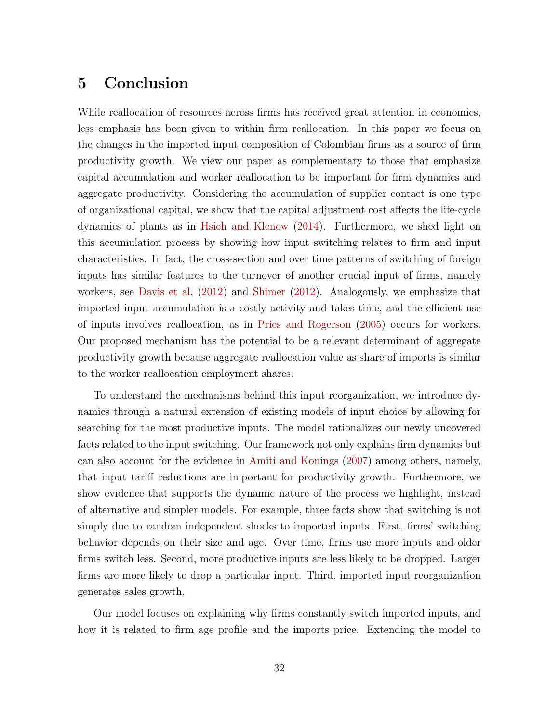# <span id="page-31-1"></span><span id="page-31-0"></span>5 Conclusion

While reallocation of resources across firms has received great attention in economics, less emphasis has been given to within firm reallocation. In this paper we focus on the changes in the imported input composition of Colombian firms as a source of firm productivity growth. We view our paper as complementary to those that emphasize capital accumulation and worker reallocation to be important for firm dynamics and aggregate productivity. Considering the accumulation of supplier contact is one type of organizational capital, we show that the capital adjustment cost affects the life-cycle dynamics of plants as in [Hsieh and Klenow](#page-50-4) [\(2014\)](#page-50-4). Furthermore, we shed light on this accumulation process by showing how input switching relates to firm and input characteristics. In fact, the cross-section and over time patterns of switching of foreign inputs has similar features to the turnover of another crucial input of firms, namely workers, see [Davis et al.](#page-49-10) [\(2012\)](#page-49-10) and [Shimer](#page-50-6) [\(2012\)](#page-50-6). Analogously, we emphasize that imported input accumulation is a costly activity and takes time, and the efficient use of inputs involves reallocation, as in [Pries and Rogerson](#page-50-7) [\(2005\)](#page-50-7) occurs for workers. Our proposed mechanism has the potential to be a relevant determinant of aggregate productivity growth because aggregate reallocation value as share of imports is similar to the worker reallocation employment shares.

To understand the mechanisms behind this input reorganization, we introduce dynamics through a natural extension of existing models of input choice by allowing for searching for the most productive inputs. The model rationalizes our newly uncovered facts related to the input switching. Our framework not only explains firm dynamics but can also account for the evidence in [Amiti and Konings](#page-49-0) [\(2007\)](#page-49-0) among others, namely, that input tariff reductions are important for productivity growth. Furthermore, we show evidence that supports the dynamic nature of the process we highlight, instead of alternative and simpler models. For example, three facts show that switching is not simply due to random independent shocks to imported inputs. First, firms' switching behavior depends on their size and age. Over time, firms use more inputs and older firms switch less. Second, more productive inputs are less likely to be dropped. Larger firms are more likely to drop a particular input. Third, imported input reorganization generates sales growth.

Our model focuses on explaining why firms constantly switch imported inputs, and how it is related to firm age profile and the imports price. Extending the model to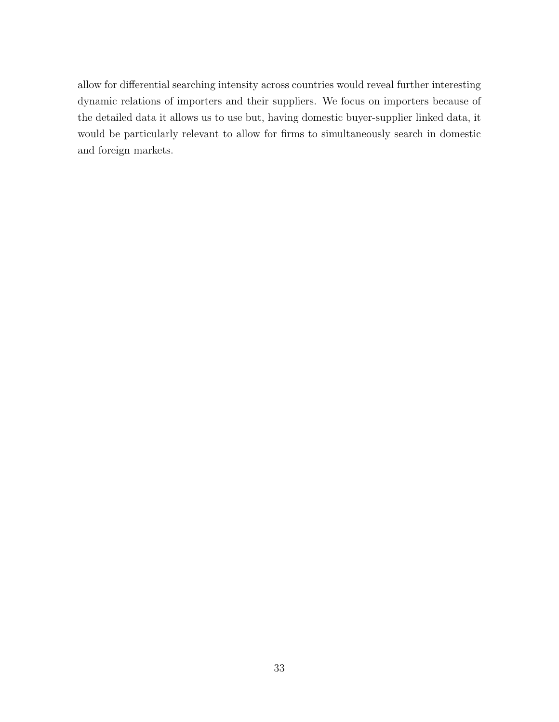allow for differential searching intensity across countries would reveal further interesting dynamic relations of importers and their suppliers. We focus on importers because of the detailed data it allows us to use but, having domestic buyer-supplier linked data, it would be particularly relevant to allow for firms to simultaneously search in domestic and foreign markets.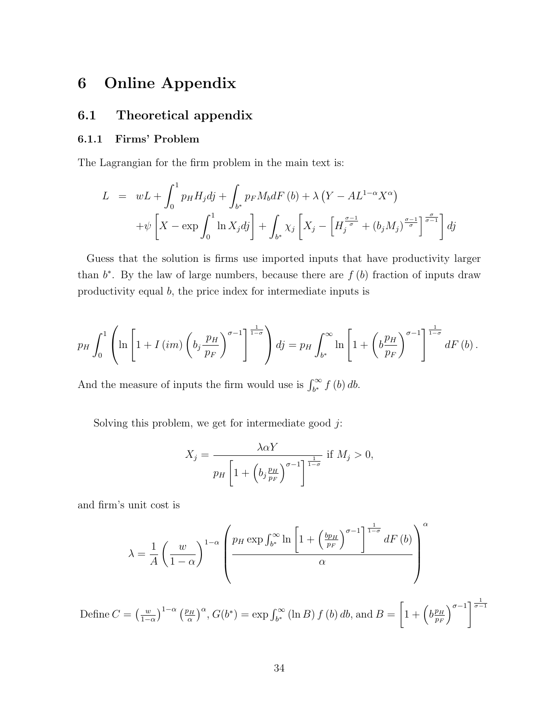# 6 Online Appendix

# 6.1 Theoretical appendix

### 6.1.1 Firms' Problem

The Lagrangian for the firm problem in the main text is:

$$
L = wL + \int_0^1 p_H H_j dj + \int_{b^*} p_F M_b dF (b) + \lambda (Y - AL^{1-\alpha} X^{\alpha})
$$
  
+  $\psi \left[ X - \exp \int_0^1 \ln X_j dj \right] + \int_{b^*} \chi_j \left[ X_j - \left[ H_j^{\frac{\sigma-1}{\sigma}} + (b_j M_j)^{\frac{\sigma-1}{\sigma}} \right]_0^{\frac{\sigma}{\sigma-1}} \right] dj$ 

Guess that the solution is firms use imported inputs that have productivity larger than  $b^*$ . By the law of large numbers, because there are  $f(b)$  fraction of inputs draw productivity equal b, the price index for intermediate inputs is

$$
p_H \int_0^1 \left( \ln \left[ 1 + I\left(im\right) \left( b_j \frac{p_H}{p_F} \right)^{\sigma - 1} \right] \frac{1}{1 - \sigma} \right) dj = p_H \int_{b^*}^{\infty} \ln \left[ 1 + \left( b \frac{p_H}{p_F} \right)^{\sigma - 1} \right] \frac{1}{1 - \sigma} dF\left(b\right).
$$

And the measure of inputs the firm would use is  $\int_{b^*}^{\infty} f(b) db$ .

Solving this problem, we get for intermediate good  $j$ :

$$
X_j = \frac{\lambda \alpha Y}{p_H \left[1 + \left(b_j \frac{p_H}{p_F}\right)^{\sigma - 1}\right]^{\frac{1}{1 - \sigma}}} \text{ if } M_j > 0,
$$

and firm's unit cost is

$$
\lambda = \frac{1}{A} \left( \frac{w}{1-\alpha} \right)^{1-\alpha} \left( \frac{p_H \exp \int_{b^*}^{\infty} \ln \left[ 1 + \left( \frac{bp_H}{p_F} \right)^{\sigma-1} \right]^{\frac{1}{1-\sigma}} dF(b) \right)^{\alpha} \right)
$$

Define  $C = \left(\frac{w}{1 - \cdots}\right)$  $\frac{w}{1-\alpha}\Big)^{1-\alpha}$   $\left(\frac{p_H}{\alpha}\right)$  $\left(\frac{bH}{\alpha}\right)^{\alpha}$ ,  $G(b^*) = \exp \int_{b^*}^{\infty} (\ln B) f(b) db$ , and  $B =$  $\left[1+\left(b\frac{p_H}{p_H}\right)\right]$  $p_F$  $\sigma^{-1}$ <sup> $\frac{1}{\sigma-1}$ </sup>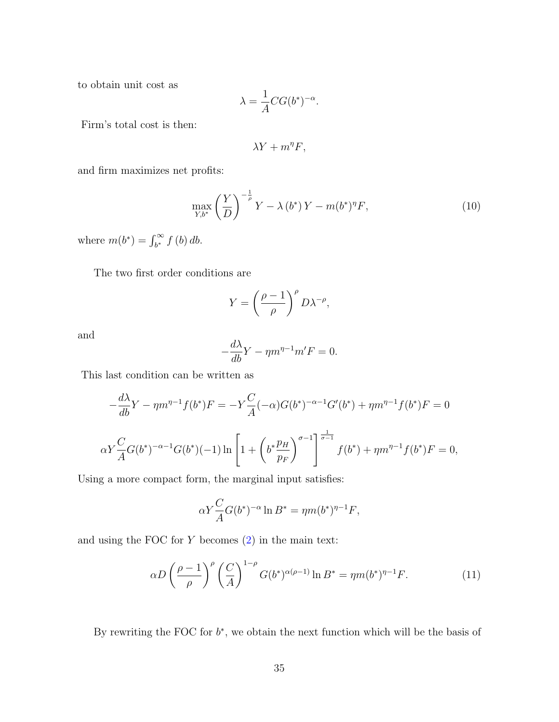to obtain unit cost as

$$
\lambda = \frac{1}{A} C G(b^*)^{-\alpha}.
$$

Firm's total cost is then:

$$
\lambda Y + m^{\eta} F,
$$

and firm maximizes net profits:

$$
\max_{Y, b^*} \left(\frac{Y}{D}\right)^{-\frac{1}{\rho}} Y - \lambda(b^*) Y - m(b^*)^{\eta} F,\tag{10}
$$

where  $m(b^*) = \int_{b^*}^{\infty} f(b) db$ .

The two first order conditions are

$$
Y = \left(\frac{\rho - 1}{\rho}\right)^{\rho} D\lambda^{-\rho},
$$

and

$$
-\frac{d\lambda}{db}Y - \eta m^{\eta - 1} m'F = 0.
$$

This last condition can be written as

$$
-\frac{d\lambda}{db}Y - \eta m^{\eta - 1} f(b^*)F = -Y \frac{C}{A} (-\alpha)G(b^*)^{-\alpha - 1} G'(b^*) + \eta m^{\eta - 1} f(b^*)F = 0
$$
  

$$
\alpha Y \frac{C}{A} G(b^*)^{-\alpha - 1} G(b^*) (-1) \ln \left[ 1 + \left( b^* \frac{p_H}{p_F} \right)^{\sigma - 1} \right]^{-\frac{1}{\sigma - 1}} f(b^*) + \eta m^{\eta - 1} f(b^*)F = 0,
$$

Using a more compact form, the marginal input satisfies:

$$
\alpha Y \frac{C}{A} G(b^*)^{-\alpha} \ln B^* = \eta m (b^*)^{\eta - 1} F,
$$

and using the FOC for  $Y$  becomes  $(2)$  in the main text:

<span id="page-34-0"></span>
$$
\alpha D \left(\frac{\rho-1}{\rho}\right)^{\rho} \left(\frac{C}{A}\right)^{1-\rho} G(b^*)^{\alpha(\rho-1)} \ln B^* = \eta m (b^*)^{\eta-1} F. \tag{11}
$$

By rewriting the FOC for  $b^*$ , we obtain the next function which will be the basis of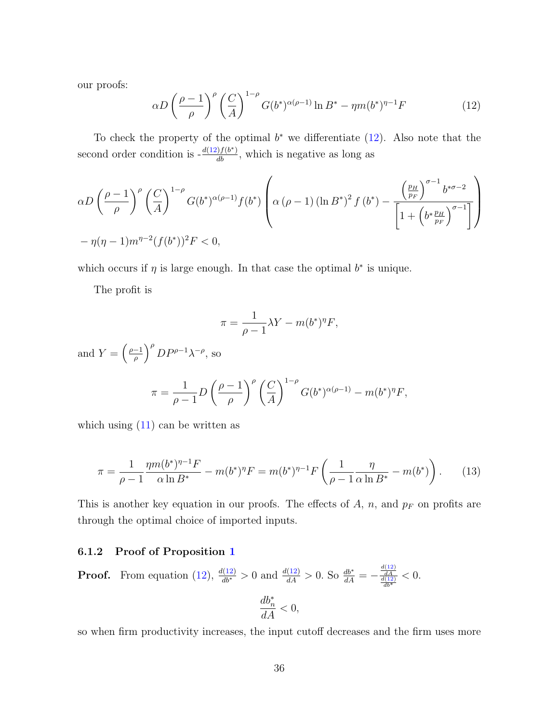our proofs:

<span id="page-35-1"></span>
$$
\alpha D \left(\frac{\rho-1}{\rho}\right)^{\rho} \left(\frac{C}{A}\right)^{1-\rho} G(b^*)^{\alpha(\rho-1)} \ln B^* - \eta m (b^*)^{\eta-1} F \tag{12}
$$

To check the property of the optimal  $b^*$  we differentiate  $(12)$ . Also note that the second order condition is  $-\frac{d(12)f(b^*)}{db}$  $-\frac{d(12)f(b^*)}{db}$  $-\frac{d(12)f(b^*)}{db}$ , which is negative as long as

$$
\alpha D \left(\frac{\rho-1}{\rho}\right)^{\rho} \left(\frac{C}{A}\right)^{1-\rho} G(b^*)^{\alpha(\rho-1)} f(b^*) \left(\alpha (\rho-1) \left(\ln B^*\right)^2 f(b^*) - \frac{\left(\frac{p_H}{p_F}\right)^{\sigma-1} b^{*\sigma-2}}{\left[1 + \left(b^* \frac{p_H}{p_F}\right)^{\sigma-1}\right]}\right)
$$

$$
-\eta(\eta-1) m^{\eta-2} (f(b^*))^2 F < 0,
$$

which occurs if  $\eta$  is large enough. In that case the optimal  $b^*$  is unique.

The profit is

$$
\pi = \frac{1}{\rho - 1} \lambda Y - m(b^*)^{\eta} F,
$$

and  $Y = \left(\frac{\rho - 1}{\rho}\right)$  $\left(\frac{-1}{\rho}\right)^{\rho}DP^{\rho-1}\lambda^{-\rho}$ , so  $\pi =$ 1  $\rho - 1$ D  $\int \rho - 1$ ρ  $\bigwedge^{\rho}$  (C A  $\setminus^{1-\rho}$  $G(b^*)^{\alpha(\rho-1)} - m(b^*)^{\eta} F,$ 

which using  $(11)$  can be written as

<span id="page-35-2"></span>
$$
\pi = \frac{1}{\rho - 1} \frac{\eta m (b^*)^{\eta - 1} F}{\alpha \ln B^*} - m (b^*)^{\eta} F = m (b^*)^{\eta - 1} F \left( \frac{1}{\rho - 1} \frac{\eta}{\alpha \ln B^*} - m (b^*) \right). \tag{13}
$$

This is another key equation in our proofs. The effects of  $A$ ,  $n$ , and  $p_F$  on profits are through the optimal choice of imported inputs.

#### <span id="page-35-0"></span>6.1.2 Proof of Proposition [1](#page-17-1)

**Proof.** From equation [\(12\)](#page-35-1),  $\frac{d(12)}{db^*} > 0$  and  $\frac{d(12)}{dA} > 0$ . So  $\frac{db^*}{dA} = -\frac{\frac{d(12)}{dA}}{\frac{d(12)}{db^*}}$  $< 0.$ 

$$
\frac{db_n^*}{dA} < 0,
$$

so when firm productivity increases, the input cutoff decreases and the firm uses more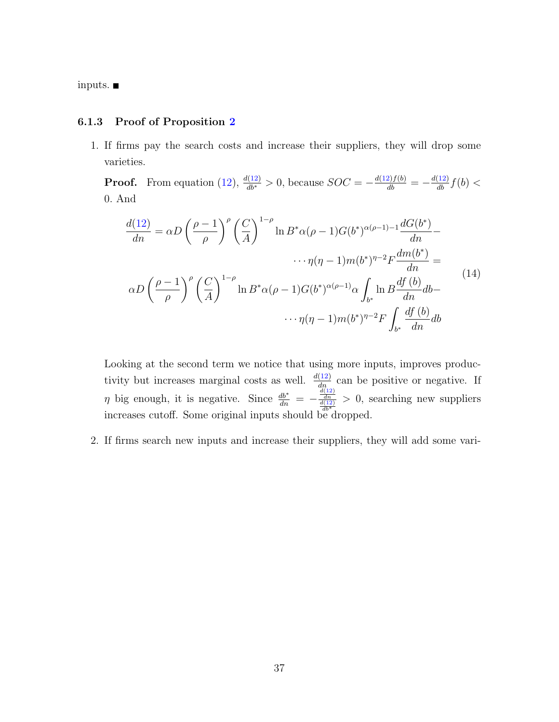inputs.

#### <span id="page-36-0"></span>6.1.3 Proof of Proposition [2](#page-17-2)

1. If firms pay the search costs and increase their suppliers, they will drop some varieties.

**Proof.** From equation [\(12\)](#page-35-1),  $\frac{d(12)}{db^*} > 0$ , because  $SOC = -\frac{d(12)f(b)}{db} = -\frac{d(12)}{db}f(b) <$ 0. And

$$
\frac{d(12)}{dn} = \alpha D \left(\frac{\rho - 1}{\rho}\right)^{\rho} \left(\frac{C}{A}\right)^{1-\rho} \ln B^* \alpha(\rho - 1) G(b^*)^{\alpha(\rho - 1) - 1} \frac{dG(b^*)}{dn} - \cdots \eta(\eta - 1) m(b^*)^{\eta - 2} F \frac{dm(b^*)}{dn} =
$$
\n
$$
\alpha D \left(\frac{\rho - 1}{\rho}\right)^{\rho} \left(\frac{C}{A}\right)^{1-\rho} \ln B^* \alpha(\rho - 1) G(b^*)^{\alpha(\rho - 1)} \alpha \int_{b^*} \ln B \frac{df(b)}{dn} db - \cdots \eta(\eta - 1) m(b^*)^{\eta - 2} F \int_{b^*} \frac{df(b)}{dn} db
$$
\n(14)

Looking at the second term we notice that using more inputs, improves productivity but increases marginal costs as well.  $\frac{d(12)}{dn}$  $\frac{d(12)}{dn}$  $\frac{d(12)}{dn}$  can be positive or negative. If  $\eta$  big enough, it is negative. Since  $\frac{db^*}{dn} = -\frac{\frac{d(12)}{dn}}{\frac{d(12)}{dt^*}}$  $\frac{db^*}{dn} = -\frac{\frac{d(12)}{dn}}{\frac{d(12)}{dt^*}}$  $\frac{db^*}{dn} = -\frac{\frac{d(12)}{dn}}{\frac{d(12)}{dt^*}}$ > 0, searching new suppliers increases cutoff. Some original inputs should be dropped.

2. If firms search new inputs and increase their suppliers, they will add some vari-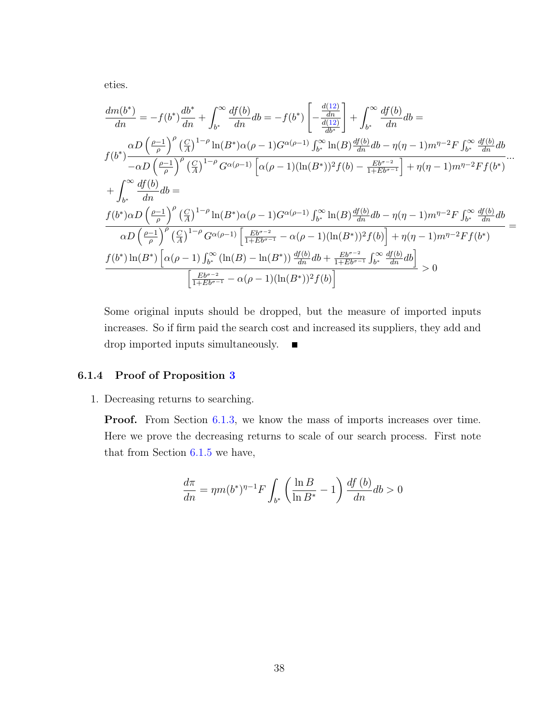eties.

$$
\frac{dm(b^*)}{dn} = -f(b^*)\frac{db^*}{dn} + \int_{b^*}^{\infty} \frac{df(b)}{dn}db = -f(b^*)\left[-\frac{\frac{d(12)}{dn}}{\frac{d(12)}{db^*}}\right] + \int_{b^*}^{\infty} \frac{df(b)}{dn}db =
$$
\n
$$
f(b^*)\frac{\alpha D\left(\frac{\rho-1}{\rho}\right)^{\rho}\left(\frac{C}{A}\right)^{1-\rho}\ln(B^*)\alpha(\rho-1)G^{\alpha(\rho-1)}\int_{b^*}^{\infty}\ln(B)\frac{df(b)}{dn}db - \eta(\eta-1)m^{\eta-2}F\int_{b^*}^{\infty}\frac{df(b)}{dn}db}{\alpha n} + \int_{b^*}^{\infty} \frac{df(b)}{dn}db =
$$
\n
$$
+ \int_{b^*}^{\infty} \frac{df(b)}{dn}db =
$$
\n
$$
f(b^*)\alpha D\left(\frac{\rho-1}{\rho}\right)^{\rho}\left(\frac{C}{A}\right)^{1-\rho}\ln(B^*)\alpha(\rho-1)G^{\alpha(\rho-1)}\int_{b^*}^{\infty}\ln(B)\frac{df(b)}{dn}db - \eta(\eta-1)m^{\eta-2}F\int_{b^*}^{\infty}\frac{df(b)}{dn}db}{\alpha D\left(\frac{\rho-1}{\rho}\right)^{\rho}\left(\frac{C}{A}\right)^{1-\rho}G^{\alpha(\rho-1)}\left[\frac{Eb^{\sigma-2}}{1+Eb^{\sigma-1}} - \alpha(\rho-1)(\ln(B^*))^2f(b)\right] + \eta(\eta-1)m^{\eta-2}F\int_{b^*}^{\infty}\frac{df(b)}{dn}db}{\alpha D\left(\frac{\rho-1}{\rho}\right)^{\rho}\left(\frac{C}{A}\right)^{1-\rho}G^{\alpha(\rho-1)}\left[\frac{Eb^{\sigma-2}}{1+Eb^{\sigma-1}} - \alpha(\rho-1)(\ln(B^*))^2f(b)\right] + \eta(\eta-1)m^{\eta-2}Ff(b^*)
$$
\n
$$
f(b^*)\ln(B^*)\left[\alpha(\rho-1)\int_{b^*}^{\infty}(\ln(B) - \ln(B^*))\frac{df(b)}{dn}db + \frac{Eb^{\sigma-2}}{1+Eb^{\sigma-1}}\int_{b^*}^{\infty}\frac{df
$$

Some original inputs should be dropped, but the measure of imported inputs increases. So if firm paid the search cost and increased its suppliers, they add and drop imported inputs simultaneously.  $\blacksquare$ 

### <span id="page-37-0"></span>6.1.4 Proof of Proposition [3](#page-18-1)

1. Decreasing returns to searching.

**Proof.** From Section [6.1.3,](#page-36-0) we know the mass of imports increases over time. Here we prove the decreasing returns to scale of our search process. First note that from Section [6.1.5](#page-39-0) we have,

$$
\frac{d\pi}{dn} = \eta m (b^*)^{\eta - 1} F \int_{b^*} \left( \frac{\ln B}{\ln B^*} - 1 \right) \frac{df (b)}{dn} db > 0
$$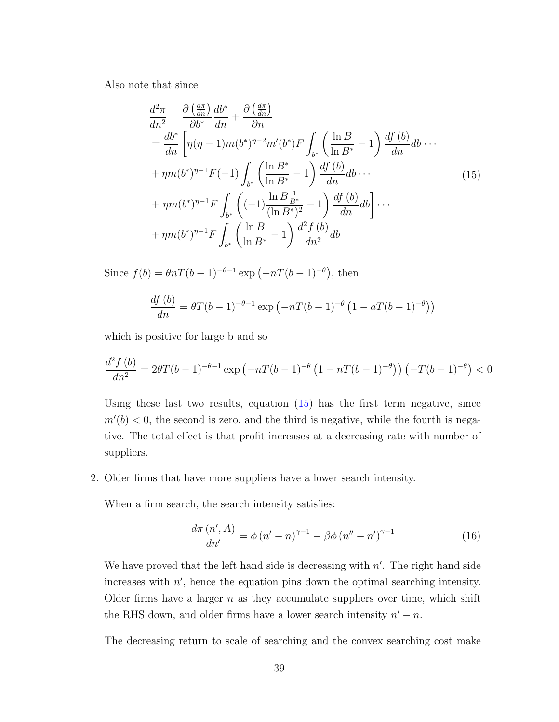Also note that since

<span id="page-38-0"></span>
$$
\frac{d^2\pi}{dn^2} = \frac{\partial \left(\frac{d\pi}{dn}\right)}{\partial b^*} \frac{db^*}{dn} + \frac{\partial \left(\frac{d\pi}{dn}\right)}{\partial n} =
$$
\n
$$
= \frac{db^*}{dn} \left[ \eta(\eta - 1)m(b^*)^{\eta - 2}m'(b^*)F \int_{b^*} \left( \frac{\ln B}{\ln B^*} - 1 \right) \frac{df(b)}{dn} db \cdots \right.
$$
\n
$$
+ \eta m(b^*)^{\eta - 1} F(-1) \int_{b^*} \left( \frac{\ln B^*}{\ln B^*} - 1 \right) \frac{df(b)}{dn} db \cdots
$$
\n
$$
+ \eta m(b^*)^{\eta - 1} F \int_{b^*} \left( (-1) \frac{\ln B \frac{1}{B^*}}{(\ln B^*)^2} - 1 \right) \frac{df(b)}{dn} db \right] \cdots
$$
\n
$$
+ \eta m(b^*)^{\eta - 1} F \int_{b^*} \left( \frac{\ln B}{\ln B^*} - 1 \right) \frac{d^2 f(b)}{dn^2} db
$$
\n(15)

Since  $f(b) = \theta nT(b-1)^{-\theta-1} \exp(-nT(b-1)^{-\theta})$ , then

$$
\frac{df(b)}{dn} = \theta T(b-1)^{-\theta-1} \exp\left(-nT(b-1)^{-\theta} \left(1 - aT(b-1)^{-\theta}\right)\right)
$$

which is positive for large b and so

$$
\frac{d^2 f(b)}{dn^2} = 2\theta T(b-1)^{-\theta-1} \exp\left(-nT(b-1)^{-\theta} \left(1 - nT(b-1)^{-\theta}\right)\right) \left(-T(b-1)^{-\theta}\right) < 0
$$

Using these last two results, equation [\(15\)](#page-38-0) has the first term negative, since  $m'(b) < 0$ , the second is zero, and the third is negative, while the fourth is negative. The total effect is that profit increases at a decreasing rate with number of suppliers.

2. Older firms that have more suppliers have a lower search intensity.

When a firm search, the search intensity satisfies:

$$
\frac{d\pi (n', A)}{dn'} = \phi (n' - n)^{\gamma - 1} - \beta \phi (n'' - n')^{\gamma - 1}
$$
\n(16)

We have proved that the left hand side is decreasing with  $n'$ . The right hand side increases with  $n'$ , hence the equation pins down the optimal searching intensity. Older firms have a larger  $n$  as they accumulate suppliers over time, which shift the RHS down, and older firms have a lower search intensity  $n' - n$ .

The decreasing return to scale of searching and the convex searching cost make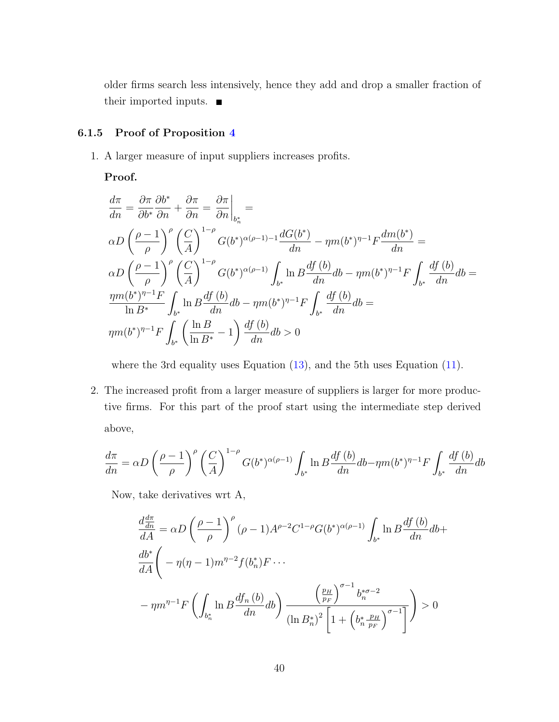older firms search less intensively, hence they add and drop a smaller fraction of their imported inputs.

## <span id="page-39-0"></span>6.1.5 Proof of Proposition [4](#page-18-0)

1. A larger measure of input suppliers increases profits.

Proof.

$$
\frac{d\pi}{dn} = \frac{\partial \pi}{\partial b^*} \frac{\partial b^*}{\partial n} + \frac{\partial \pi}{\partial n} = \frac{\partial \pi}{\partial n} \Big|_{b_n^*} =
$$
\n
$$
\alpha D \left( \frac{\rho - 1}{\rho} \right)^{\rho} \left( \frac{C}{A} \right)^{1 - \rho} G(b^*)^{\alpha(\rho - 1) - 1} \frac{dG(b^*)}{dn} - \eta m(b^*)^{\eta - 1} F \frac{dm(b^*)}{dn} =
$$
\n
$$
\alpha D \left( \frac{\rho - 1}{\rho} \right)^{\rho} \left( \frac{C}{A} \right)^{1 - \rho} G(b^*)^{\alpha(\rho - 1)} \int_{b^*} \ln B \frac{df(b)}{dn} db - \eta m(b^*)^{\eta - 1} F \int_{b^*} \frac{df(b)}{dn} db =
$$
\n
$$
\frac{\eta m(b^*)^{\eta - 1} F}{\ln B^*} \int_{b^*} \ln B \frac{df(b)}{dn} db - \eta m(b^*)^{\eta - 1} F \int_{b^*} \frac{df(b)}{dn} db =
$$
\n
$$
\eta m(b^*)^{\eta - 1} F \int_{b^*} \left( \frac{\ln B}{\ln B^*} - 1 \right) \frac{df(b)}{dn} db > 0
$$

where the 3rd equality uses Equation  $(13)$ , and the 5th uses Equation  $(11)$ .

2. The increased profit from a larger measure of suppliers is larger for more productive firms. For this part of the proof start using the intermediate step derived above,

$$
\frac{d\pi}{dn} = \alpha D \left(\frac{\rho - 1}{\rho}\right)^{\rho} \left(\frac{C}{A}\right)^{1-\rho} G(b^*)^{\alpha(\rho-1)} \int_{b^*} \ln B \frac{df(b)}{dn} db - \eta m(b^*)^{\eta-1} F \int_{b^*} \frac{df(b)}{dn} db
$$

Now, take derivatives wrt A,

$$
\frac{d\frac{d\pi}{dn}}{dA} = \alpha D \left( \frac{\rho - 1}{\rho} \right)^{\rho} (\rho - 1) A^{\rho - 2} C^{1 - \rho} G(b^*)^{\alpha(\rho - 1)} \int_{b^*} \ln B \frac{df(b)}{dn} db +
$$
\n
$$
\frac{db^*}{dA} \left( -\eta(\eta - 1)m^{\eta - 2} f(b_n^*) F \cdots -\eta m^{\eta - 1} F \left( \int_{b_n^*} \ln B \frac{df_n(b)}{dn} db \right) \frac{\left( \frac{p_H}{p_F} \right)^{\sigma - 1} b_n^{*\sigma - 2}}{\left( \ln B_n^* \right)^2 \left[ 1 + \left( b_n^* \frac{p_H}{p_F} \right)^{\sigma - 1} \right]} \right) > 0
$$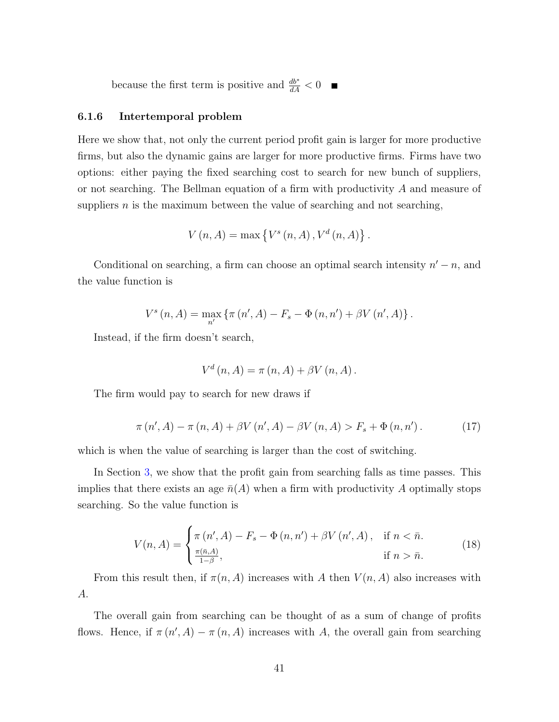because the first term is positive and  $\frac{db^*}{dA} < 0$ 

#### 6.1.6 Intertemporal problem

Here we show that, not only the current period profit gain is larger for more productive firms, but also the dynamic gains are larger for more productive firms. Firms have two options: either paying the fixed searching cost to search for new bunch of suppliers, or not searching. The Bellman equation of a firm with productivity A and measure of suppliers  $n$  is the maximum between the value of searching and not searching,

$$
V(n, A) = \max \{ V^s(n, A), V^d(n, A) \}.
$$

Conditional on searching, a firm can choose an optimal search intensity  $n' - n$ , and the value function is

$$
V^{s}(n, A) = \max_{n'} \{ \pi (n', A) - F_{s} - \Phi (n, n') + \beta V (n', A) \}.
$$

Instead, if the firm doesn't search,

$$
V^{d}(n, A) = \pi(n, A) + \beta V(n, A).
$$

The firm would pay to search for new draws if

<span id="page-40-0"></span>
$$
\pi(n', A) - \pi(n, A) + \beta V(n', A) - \beta V(n, A) > F_s + \Phi(n, n').
$$
 (17)

which is when the value of searching is larger than the cost of switching.

In Section [3,](#page-18-1) we show that the profit gain from searching falls as time passes. This implies that there exists an age  $\bar{n}(A)$  when a firm with productivity A optimally stops searching. So the value function is

$$
V(n, A) = \begin{cases} \pi(n', A) - F_s - \Phi(n, n') + \beta V(n', A), & \text{if } n < \bar{n}.\\ \frac{\pi(\bar{n}, A)}{1 - \beta}, & \text{if } n > \bar{n}. \end{cases} \tag{18}
$$

From this result then, if  $\pi(n, A)$  increases with A then  $V(n, A)$  also increases with A.

The overall gain from searching can be thought of as a sum of change of profits flows. Hence, if  $\pi(n', A) - \pi(n, A)$  increases with A, the overall gain from searching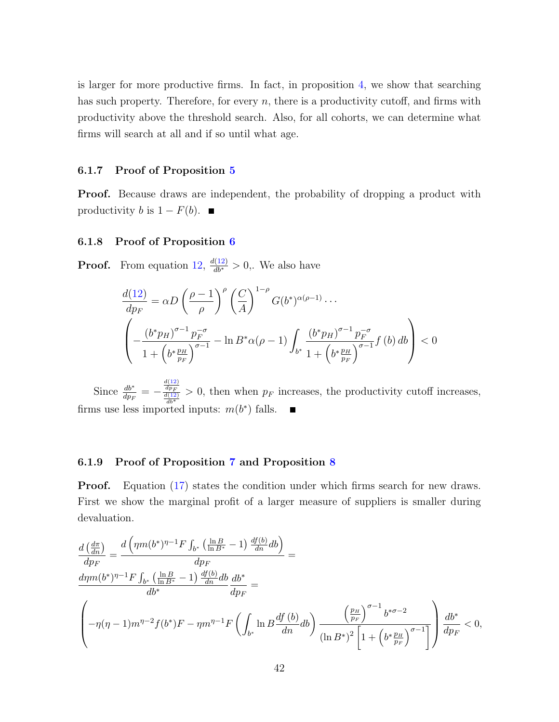is larger for more productive firms. In fact, in proposition [4,](#page-18-0) we show that searching has such property. Therefore, for every  $n$ , there is a productivity cutoff, and firms with productivity above the threshold search. Also, for all cohorts, we can determine what firms will search at all and if so until what age.

#### 6.1.7 Proof of Proposition [5](#page-19-2)

**Proof.** Because draws are independent, the probability of dropping a product with productivity *b* is  $1 - F(b)$ . ■

#### <span id="page-41-0"></span>6.1.8 Proof of Proposition [6](#page-19-0)

**Proof.** From equation [12,](#page-35-1)  $\frac{d(12)}{db^*} > 0$  $\frac{d(12)}{db^*} > 0$  $\frac{d(12)}{db^*} > 0$ . We also have

$$
\frac{d(12)}{dp_F} = \alpha D \left(\frac{\rho - 1}{\rho}\right)^{\rho} \left(\frac{C}{A}\right)^{1-\rho} G(b^*)^{\alpha(\rho - 1)} \cdots
$$
\n
$$
\left(-\frac{(b^* p_H)^{\sigma - 1} p_F^{-\sigma}}{1 + \left(b^* \frac{p_H}{p_F}\right)^{\sigma - 1}} - \ln B^* \alpha(\rho - 1) \int_{b^*} \frac{(b^* p_H)^{\sigma - 1} p_F^{-\sigma}}{1 + \left(b^* \frac{p_H}{p_F}\right)^{\sigma - 1}} f(b) db\right) < 0
$$

Since  $\frac{db^*}{dp_F} = \frac{d(12)}{dp_F}$  $\frac{d(12)}{dp_F}$  $\frac{d(12)}{dp_F}$  > 0, then when  $p_F$  increases, the productivity cutoff increases, firms use less imported inputs:  $m(b^*)$  falls.

#### <span id="page-41-1"></span>6.1.9 Proof of Proposition [7](#page-19-1) and Proposition [8](#page-19-3)

**Proof.** Equation [\(17\)](#page-40-0) states the condition under which firms search for new draws. First we show the marginal profit of a larger measure of suppliers is smaller during devaluation.

$$
\frac{d\left(\frac{d\pi}{dn}\right)}{dp_F} = \frac{d\left(\eta m(b^*)^{\eta-1} F \int_{b^*} \left(\frac{\ln B}{\ln B^*} - 1\right) \frac{df(b)}{dn} db\right)}{dp_F} =
$$
\n
$$
\frac{d\eta m(b^*)^{\eta-1} F \int_{b^*} \left(\frac{\ln B}{\ln B^*} - 1\right) \frac{df(b)}{dn} db}{dp_F} =
$$
\n
$$
\left(-\eta (\eta - 1) m^{\eta-2} f(b^*) F - \eta m^{\eta-1} F \left(\int_{b^*} \ln B \frac{df(b)}{dn} db\right) \frac{\left(\frac{p_H}{p_F}\right)^{\sigma-1} b^{*\sigma-2}}{\left(\ln B^*\right)^2 \left[1 + \left(b^*\frac{p_H}{p_F}\right)^{\sigma-1}\right]}\right) \frac{db^*}{dp_F} < 0,
$$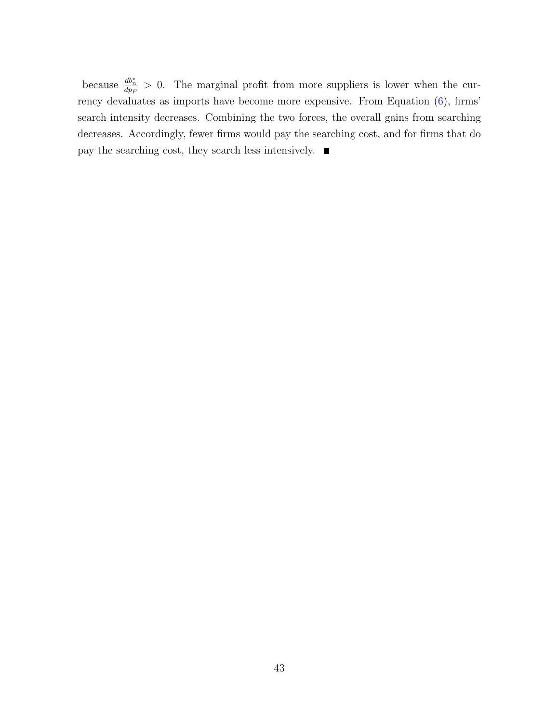because  $\frac{db_n^*}{dp_F} > 0$ . The marginal profit from more suppliers is lower when the currency devaluates as imports have become more expensive. From Equation [\(6\)](#page-16-0), firms' search intensity decreases. Combining the two forces, the overall gains from searching decreases. Accordingly, fewer firms would pay the searching cost, and for firms that do pay the searching cost, they search less intensively.  $\blacksquare$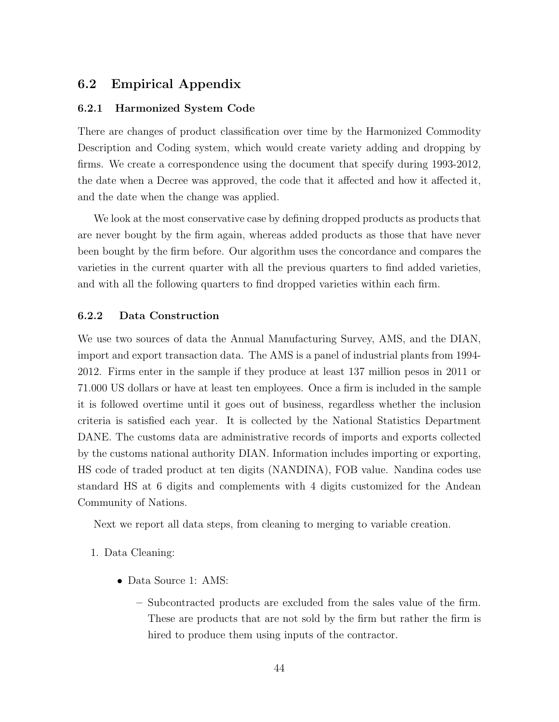## 6.2 Empirical Appendix

#### <span id="page-43-0"></span>6.2.1 Harmonized System Code

There are changes of product classification over time by the Harmonized Commodity Description and Coding system, which would create variety adding and dropping by firms. We create a correspondence using the document that specify during 1993-2012, the date when a Decree was approved, the code that it affected and how it affected it, and the date when the change was applied.

We look at the most conservative case by defining dropped products as products that are never bought by the firm again, whereas added products as those that have never been bought by the firm before. Our algorithm uses the concordance and compares the varieties in the current quarter with all the previous quarters to find added varieties, and with all the following quarters to find dropped varieties within each firm.

### 6.2.2 Data Construction

We use two sources of data the Annual Manufacturing Survey, AMS, and the DIAN, import and export transaction data. The AMS is a panel of industrial plants from 1994- 2012. Firms enter in the sample if they produce at least 137 million pesos in 2011 or 71.000 US dollars or have at least ten employees. Once a firm is included in the sample it is followed overtime until it goes out of business, regardless whether the inclusion criteria is satisfied each year. It is collected by the National Statistics Department DANE. The customs data are administrative records of imports and exports collected by the customs national authority DIAN. Information includes importing or exporting, HS code of traded product at ten digits (NANDINA), FOB value. Nandina codes use standard HS at 6 digits and complements with 4 digits customized for the Andean Community of Nations.

Next we report all data steps, from cleaning to merging to variable creation.

- 1. Data Cleaning:
	- Data Source 1: AMS:
		- Subcontracted products are excluded from the sales value of the firm. These are products that are not sold by the firm but rather the firm is hired to produce them using inputs of the contractor.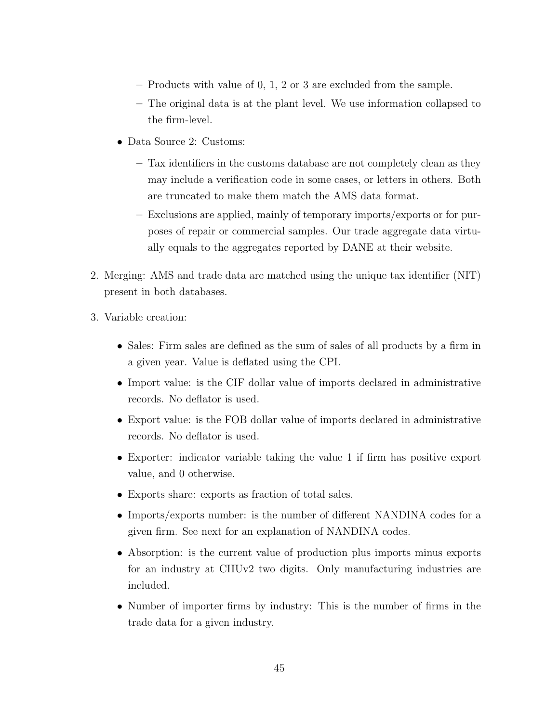- Products with value of 0, 1, 2 or 3 are excluded from the sample.
- The original data is at the plant level. We use information collapsed to the firm-level.
- Data Source 2: Customs:
	- Tax identifiers in the customs database are not completely clean as they may include a verification code in some cases, or letters in others. Both are truncated to make them match the AMS data format.
	- Exclusions are applied, mainly of temporary imports/exports or for purposes of repair or commercial samples. Our trade aggregate data virtually equals to the aggregates reported by DANE at their website.
- 2. Merging: AMS and trade data are matched using the unique tax identifier (NIT) present in both databases.
- 3. Variable creation:
	- Sales: Firm sales are defined as the sum of sales of all products by a firm in a given year. Value is deflated using the CPI.
	- Import value: is the CIF dollar value of imports declared in administrative records. No deflator is used.
	- Export value: is the FOB dollar value of imports declared in administrative records. No deflator is used.
	- Exporter: indicator variable taking the value 1 if firm has positive export value, and 0 otherwise.
	- Exports share: exports as fraction of total sales.
	- Imports/exports number: is the number of different NANDINA codes for a given firm. See next for an explanation of NANDINA codes.
	- Absorption: is the current value of production plus imports minus exports for an industry at CIIUv2 two digits. Only manufacturing industries are included.
	- Number of importer firms by industry: This is the number of firms in the trade data for a given industry.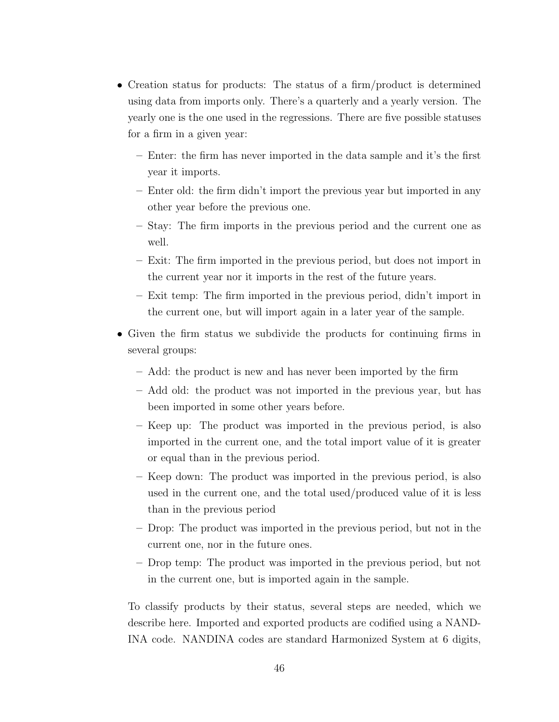- Creation status for products: The status of a firm/product is determined using data from imports only. There's a quarterly and a yearly version. The yearly one is the one used in the regressions. There are five possible statuses for a firm in a given year:
	- Enter: the firm has never imported in the data sample and it's the first year it imports.
	- Enter old: the firm didn't import the previous year but imported in any other year before the previous one.
	- Stay: The firm imports in the previous period and the current one as well.
	- Exit: The firm imported in the previous period, but does not import in the current year nor it imports in the rest of the future years.
	- Exit temp: The firm imported in the previous period, didn't import in the current one, but will import again in a later year of the sample.
- Given the firm status we subdivide the products for continuing firms in several groups:
	- Add: the product is new and has never been imported by the firm
	- Add old: the product was not imported in the previous year, but has been imported in some other years before.
	- Keep up: The product was imported in the previous period, is also imported in the current one, and the total import value of it is greater or equal than in the previous period.
	- Keep down: The product was imported in the previous period, is also used in the current one, and the total used/produced value of it is less than in the previous period
	- Drop: The product was imported in the previous period, but not in the current one, nor in the future ones.
	- Drop temp: The product was imported in the previous period, but not in the current one, but is imported again in the sample.

To classify products by their status, several steps are needed, which we describe here. Imported and exported products are codified using a NAND-INA code. NANDINA codes are standard Harmonized System at 6 digits,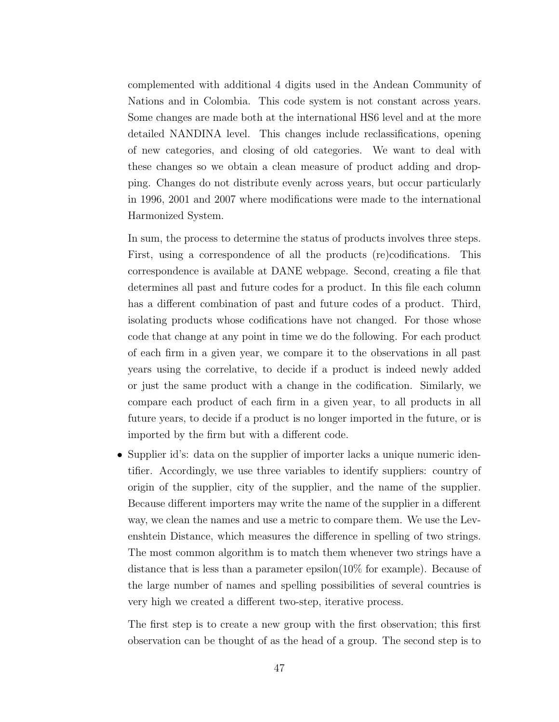complemented with additional 4 digits used in the Andean Community of Nations and in Colombia. This code system is not constant across years. Some changes are made both at the international HS6 level and at the more detailed NANDINA level. This changes include reclassifications, opening of new categories, and closing of old categories. We want to deal with these changes so we obtain a clean measure of product adding and dropping. Changes do not distribute evenly across years, but occur particularly in 1996, 2001 and 2007 where modifications were made to the international Harmonized System.

In sum, the process to determine the status of products involves three steps. First, using a correspondence of all the products (re)codifications. This correspondence is available at DANE webpage. Second, creating a file that determines all past and future codes for a product. In this file each column has a different combination of past and future codes of a product. Third, isolating products whose codifications have not changed. For those whose code that change at any point in time we do the following. For each product of each firm in a given year, we compare it to the observations in all past years using the correlative, to decide if a product is indeed newly added or just the same product with a change in the codification. Similarly, we compare each product of each firm in a given year, to all products in all future years, to decide if a product is no longer imported in the future, or is imported by the firm but with a different code.

• Supplier id's: data on the supplier of importer lacks a unique numeric identifier. Accordingly, we use three variables to identify suppliers: country of origin of the supplier, city of the supplier, and the name of the supplier. Because different importers may write the name of the supplier in a different way, we clean the names and use a metric to compare them. We use the Levenshtein Distance, which measures the difference in spelling of two strings. The most common algorithm is to match them whenever two strings have a distance that is less than a parameter epsilon(10% for example). Because of the large number of names and spelling possibilities of several countries is very high we created a different two-step, iterative process.

The first step is to create a new group with the first observation; this first observation can be thought of as the head of a group. The second step is to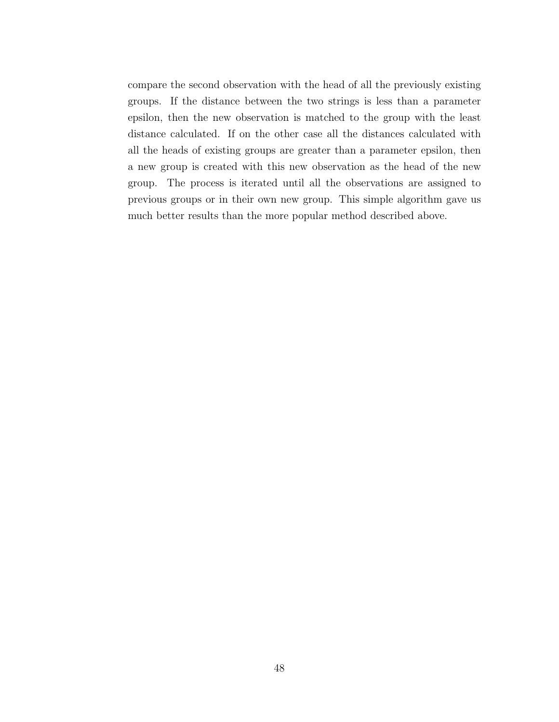compare the second observation with the head of all the previously existing groups. If the distance between the two strings is less than a parameter epsilon, then the new observation is matched to the group with the least distance calculated. If on the other case all the distances calculated with all the heads of existing groups are greater than a parameter epsilon, then a new group is created with this new observation as the head of the new group. The process is iterated until all the observations are assigned to previous groups or in their own new group. This simple algorithm gave us much better results than the more popular method described above.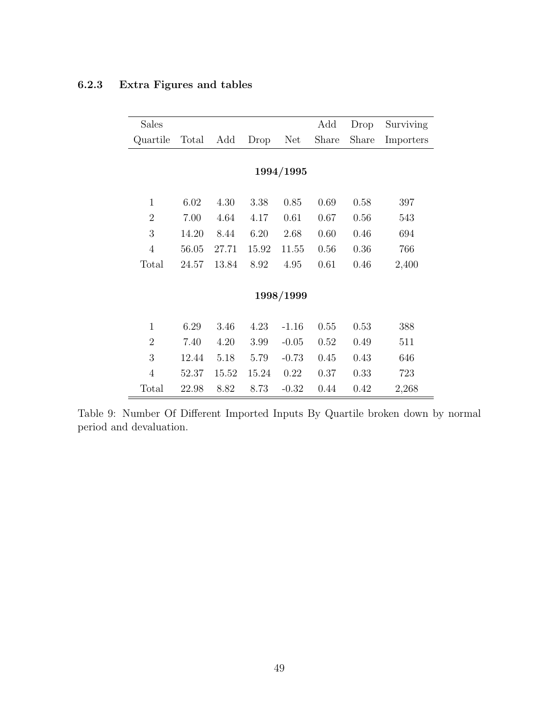| <b>Sales</b>   |       |       |       |         | Add   | Drop  | Surviving |
|----------------|-------|-------|-------|---------|-------|-------|-----------|
| Quartile       | Total | Add   | Drop  | Net     | Share | Share | Importers |
|                |       |       |       |         |       |       |           |
| 1994/1995      |       |       |       |         |       |       |           |
|                |       |       |       |         |       |       |           |
| $\mathbf{1}$   | 6.02  | 4.30  | 3.38  | 0.85    | 0.69  | 0.58  | 397       |
| $\overline{2}$ | 7.00  | 4.64  | 4.17  | 0.61    | 0.67  | 0.56  | 543       |
| 3              | 14.20 | 8.44  | 6.20  | 2.68    | 0.60  | 0.46  | 694       |
| $\overline{4}$ | 56.05 | 27.71 | 15.92 | 11.55   | 0.56  | 0.36  | 766       |
| Total          | 24.57 | 13.84 | 8.92  | 4.95    | 0.61  | 0.46  | 2,400     |
|                |       |       |       |         |       |       |           |
| 1998/1999      |       |       |       |         |       |       |           |
|                |       |       |       |         |       |       |           |
| $\mathbf{1}$   | 6.29  | 3.46  | 4.23  | $-1.16$ | 0.55  | 0.53  | 388       |
| $\overline{2}$ | 7.40  | 4.20  | 3.99  | $-0.05$ | 0.52  | 0.49  | 511       |
| 3              | 12.44 | 5.18  | 5.79  | $-0.73$ | 0.45  | 0.43  | 646       |
| $\overline{4}$ | 52.37 | 15.52 | 15.24 | 0.22    | 0.37  | 0.33  | 723       |
| Total          | 22.98 | 8.82  | 8.73  | $-0.32$ | 0.44  | 0.42  | 2,268     |

# <span id="page-48-0"></span>6.2.3 Extra Figures and tables

Table 9: Number Of Different Imported Inputs By Quartile broken down by normal period and devaluation.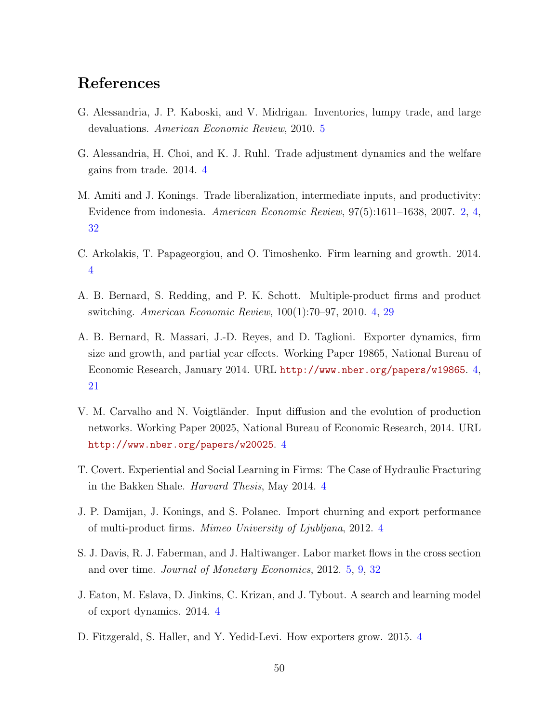# References

- <span id="page-49-11"></span>G. Alessandria, J. P. Kaboski, and V. Midrigan. Inventories, lumpy trade, and large devaluations. American Economic Review, 2010. [5](#page-4-3)
- <span id="page-49-7"></span>G. Alessandria, H. Choi, and K. J. Ruhl. Trade adjustment dynamics and the welfare gains from trade. 2014. [4](#page-3-2)
- <span id="page-49-0"></span>M. Amiti and J. Konings. Trade liberalization, intermediate inputs, and productivity: Evidence from indonesia. American Economic Review, 97(5):1611–1638, 2007. [2,](#page-1-3) [4,](#page-3-2) [32](#page-31-1)
- <span id="page-49-5"></span>C. Arkolakis, T. Papageorgiou, and O. Timoshenko. Firm learning and growth. 2014. [4](#page-3-2)
- <span id="page-49-2"></span>A. B. Bernard, S. Redding, and P. K. Schott. Multiple-product firms and product switching. American Economic Review, 100(1):70–97, 2010. [4,](#page-3-2) [29](#page-28-1)
- <span id="page-49-3"></span>A. B. Bernard, R. Massari, J.-D. Reyes, and D. Taglioni. Exporter dynamics, firm size and growth, and partial year effects. Working Paper 19865, National Bureau of Economic Research, January 2014. URL <http://www.nber.org/papers/w19865>. [4,](#page-3-2) [21](#page-20-3)
- <span id="page-49-9"></span>V. M. Carvalho and N. Voigtländer. Input diffusion and the evolution of production networks. Working Paper 20025, National Bureau of Economic Research, 2014. URL <http://www.nber.org/papers/w20025>. [4](#page-3-2)
- <span id="page-49-8"></span>T. Covert. Experiential and Social Learning in Firms: The Case of Hydraulic Fracturing in the Bakken Shale. Harvard Thesis, May 2014. [4](#page-3-2)
- <span id="page-49-1"></span>J. P. Damijan, J. Konings, and S. Polanec. Import churning and export performance of multi-product firms. Mimeo University of Ljubljana, 2012. [4](#page-3-2)
- <span id="page-49-10"></span>S. J. Davis, R. J. Faberman, and J. Haltiwanger. Labor market flows in the cross section and over time. Journal of Monetary Economics, 2012. [5,](#page-4-3) [9,](#page-8-5) [32](#page-31-1)
- <span id="page-49-4"></span>J. Eaton, M. Eslava, D. Jinkins, C. Krizan, and J. Tybout. A search and learning model of export dynamics. 2014. [4](#page-3-2)
- <span id="page-49-6"></span>D. Fitzgerald, S. Haller, and Y. Yedid-Levi. How exporters grow. 2015. [4](#page-3-2)